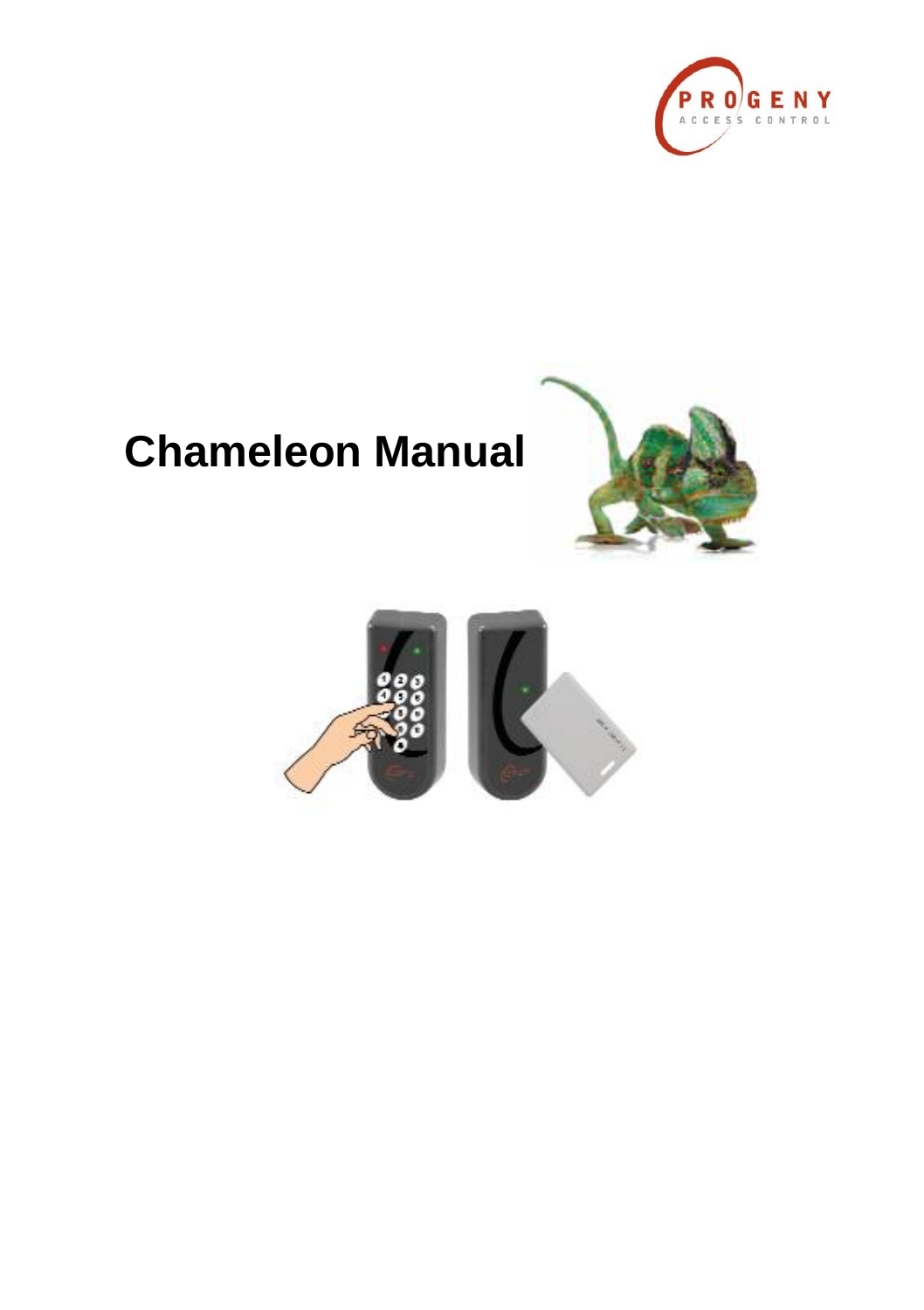

# **Chameleon Manual**



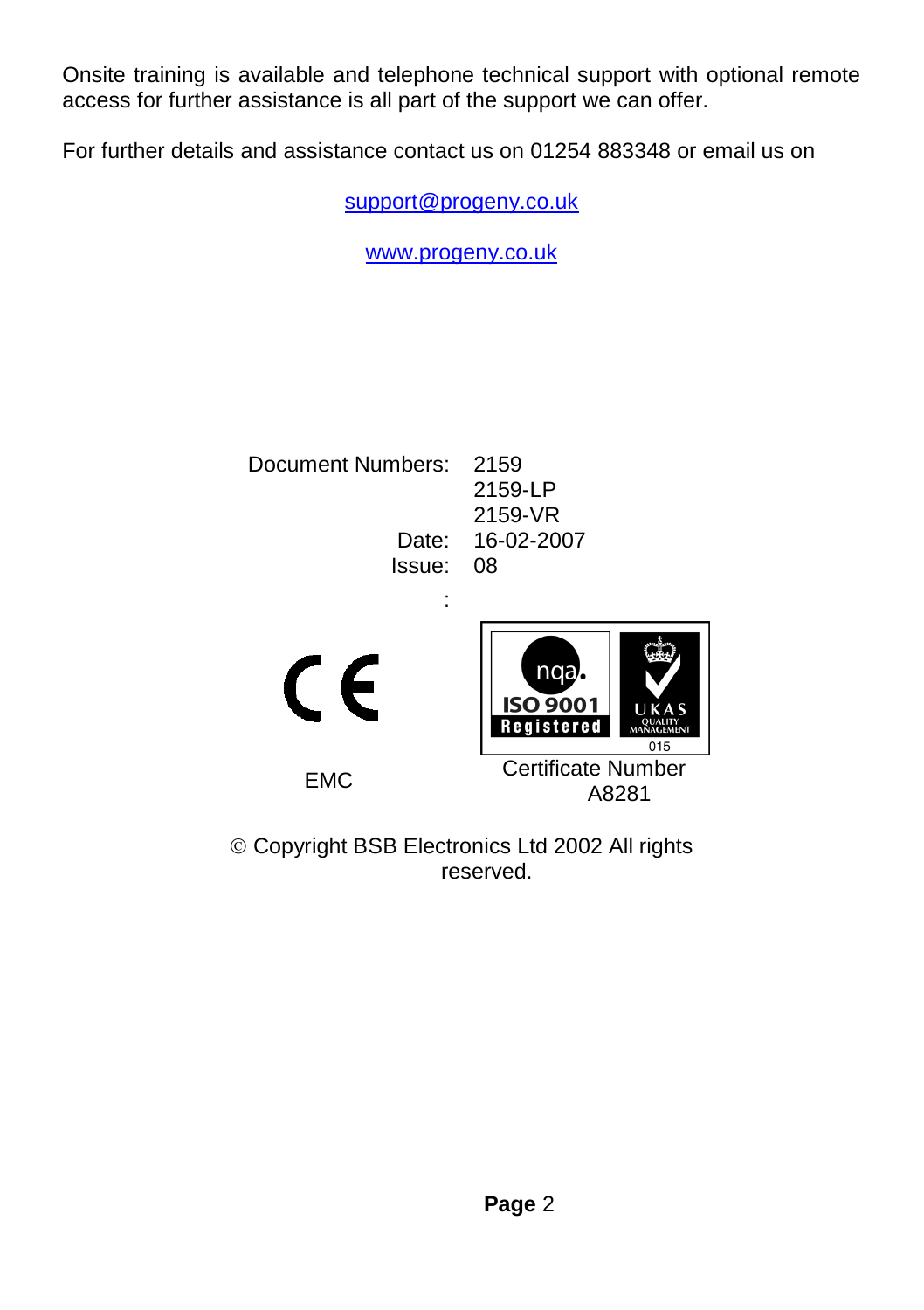Onsite training is available and telephone technical support with optional remote access for further assistance is all part of the support we can offer.

For further details and assistance contact us on 01254 883348 or email us on

[support@progeny.co.uk](mailto:support@progeny.co.uk)

[www.progeny.co.uk](http://www.progeny.co.uk/)

Document Numbers: 2159 Issue: 08

2159-LP 2159-VR Date: 16-02-2007





EMC Certificate Number A8281

 Copyright BSB Electronics Ltd 2002 All rights reserved.

: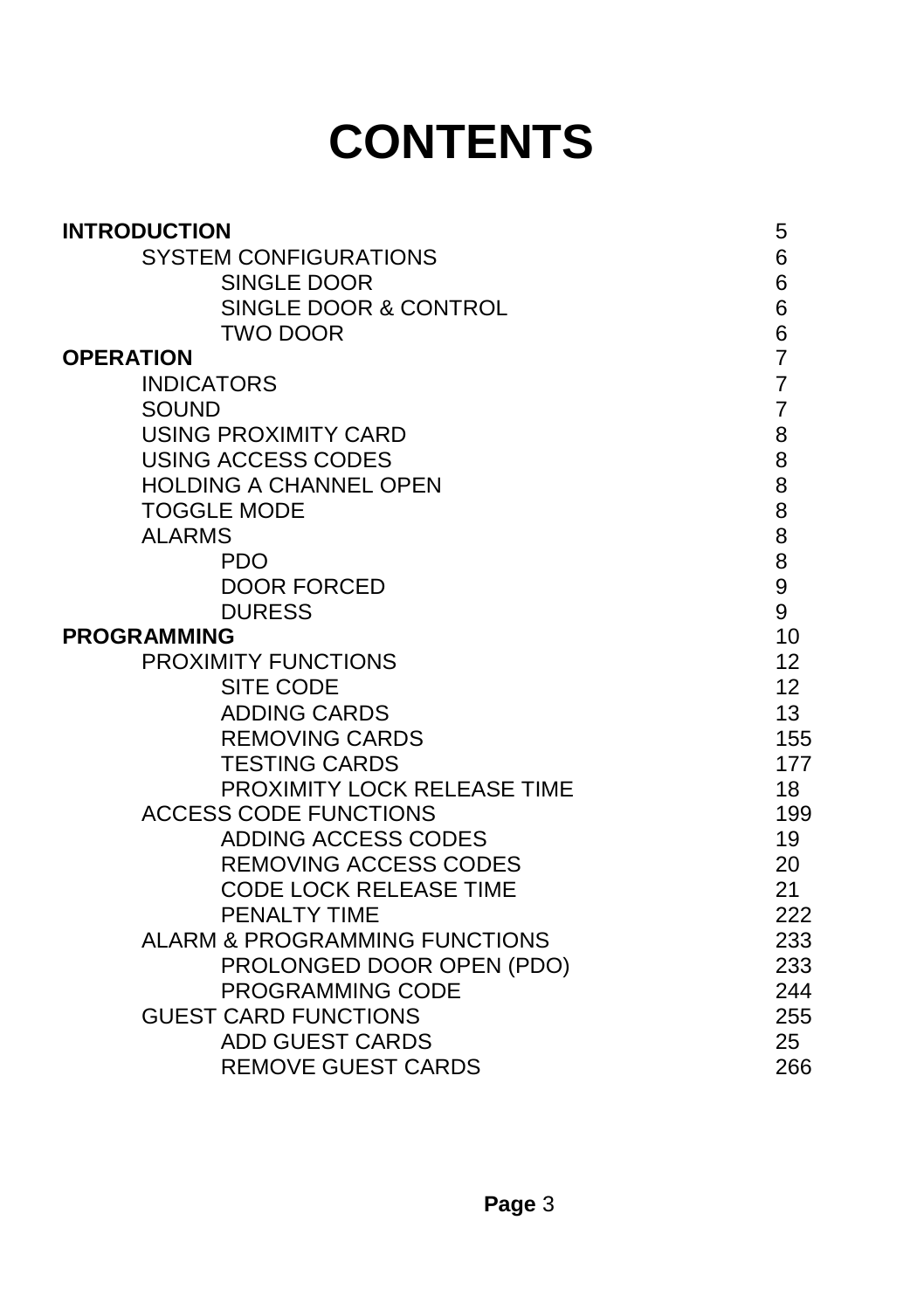# **CONTENTS**

| <b>INTRODUCTION</b>           | 5               |
|-------------------------------|-----------------|
| <b>SYSTEM CONFIGURATIONS</b>  | 6               |
| SINGLE DOOR                   | 6               |
| SINGLE DOOR & CONTROL         | 6               |
| <b>TWO DOOR</b>               | 6               |
| <b>OPERATION</b>              | $\overline{7}$  |
| <b>INDICATORS</b>             | $\overline{7}$  |
| <b>SOUND</b>                  | $\overline{7}$  |
| <b>USING PROXIMITY CARD</b>   | 8               |
| <b>USING ACCESS CODES</b>     | 8               |
| <b>HOLDING A CHANNEL OPEN</b> | 8               |
| <b>TOGGLE MODE</b>            | 8               |
| <b>ALARMS</b>                 | 8               |
| <b>PDO</b>                    | 8               |
| <b>DOOR FORCED</b>            | 9               |
| <b>DURESS</b>                 | 9               |
| <b>PROGRAMMING</b>            | 10              |
| PROXIMITY FUNCTIONS           | 12 <sup>2</sup> |
| <b>SITE CODE</b>              | 12              |
| <b>ADDING CARDS</b>           | 13              |
| <b>REMOVING CARDS</b>         | 155             |
| <b>TESTING CARDS</b>          | 177             |
| PROXIMITY LOCK RELEASE TIME   | 18              |
| <b>ACCESS CODE FUNCTIONS</b>  | 199             |
| ADDING ACCESS CODES           | 19              |
| <b>REMOVING ACCESS CODES</b>  | 20              |
| <b>CODE LOCK RELEASE TIME</b> | 21              |
| PENALTY TIME                  | 222             |
| ALARM & PROGRAMMING FUNCTIONS | 233             |
| PROLONGED DOOR OPEN (PDO)     | 233             |
| <b>PROGRAMMING CODE</b>       | 244             |
| <b>GUEST CARD FUNCTIONS</b>   | 255             |
| <b>ADD GUEST CARDS</b>        | 25              |
| <b>REMOVE GUEST CARDS</b>     | 266             |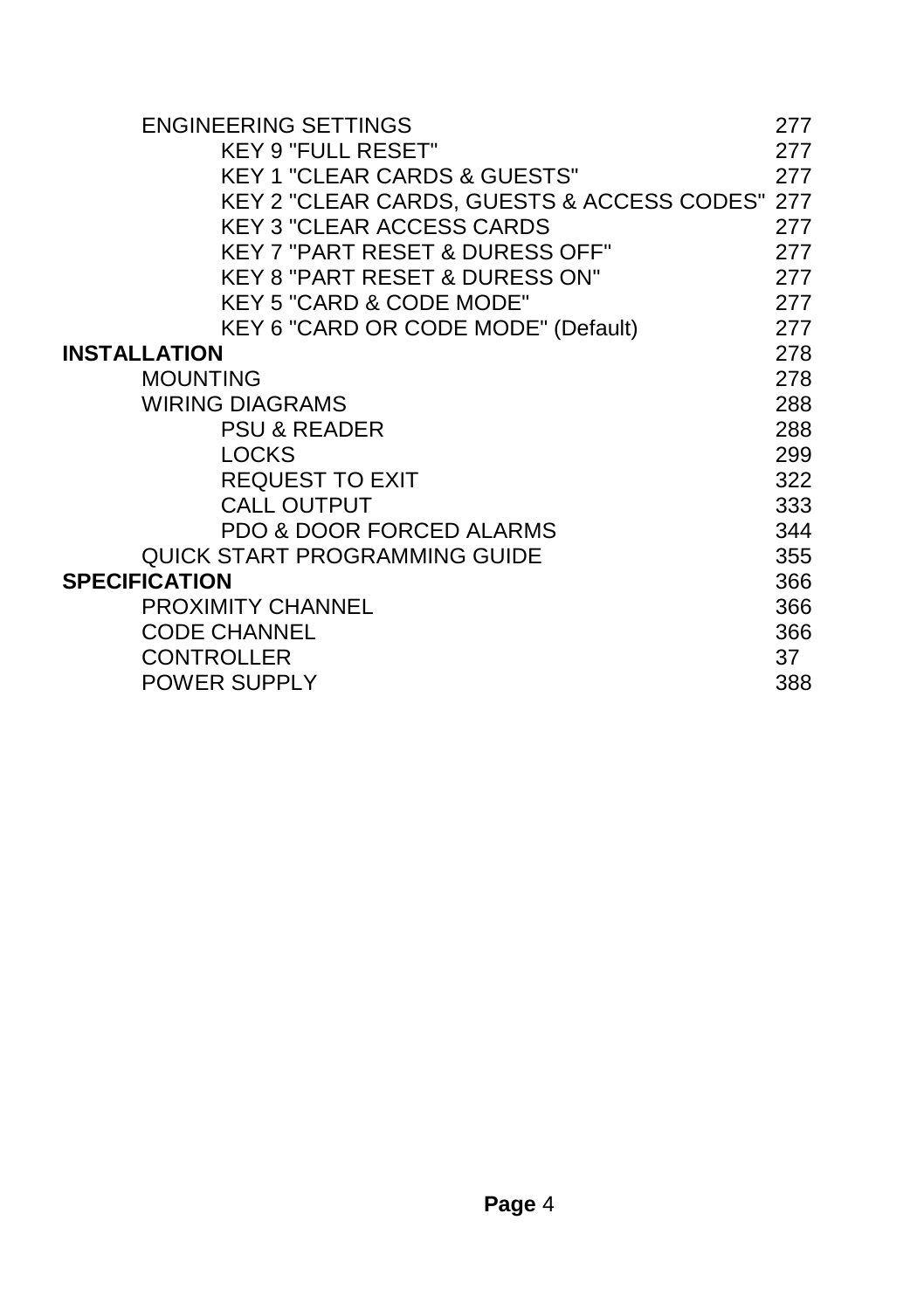| <b>ENGINEERING SETTINGS</b>                    | 277 |
|------------------------------------------------|-----|
| <b>KEY 9 "FULL RESET"</b>                      | 277 |
| <b>KEY 1 "CLEAR CARDS &amp; GUESTS"</b>        | 277 |
| KEY 2 "CLEAR CARDS, GUESTS & ACCESS CODES" 277 |     |
| <b>KEY 3 "CLEAR ACCESS CARDS</b>               | 277 |
| <b>KEY 7 "PART RESET &amp; DURESS OFF"</b>     | 277 |
| <b>KEY 8 "PART RESET &amp; DURESS ON"</b>      | 277 |
| KEY 5 "CARD & CODE MODE"                       | 277 |
| KEY 6 "CARD OR CODE MODE" (Default)            | 277 |
| <b>INSTALLATION</b>                            | 278 |
| <b>MOUNTING</b>                                | 278 |
| <b>WIRING DIAGRAMS</b>                         | 288 |
| PSU & READER                                   | 288 |
| <b>LOCKS</b>                                   | 299 |
| <b>REQUEST TO EXIT</b>                         | 322 |
| <b>CALL OUTPUT</b>                             | 333 |
| <b>PDO &amp; DOOR FORCED ALARMS</b>            | 344 |
| <b>QUICK START PROGRAMMING GUIDE</b>           | 355 |
| <b>SPECIFICATION</b>                           | 366 |
| <b>PROXIMITY CHANNEL</b>                       | 366 |
| <b>CODE CHANNEL</b>                            | 366 |
| <b>CONTROLLER</b>                              | 37  |
| POWER SUPPLY                                   | 388 |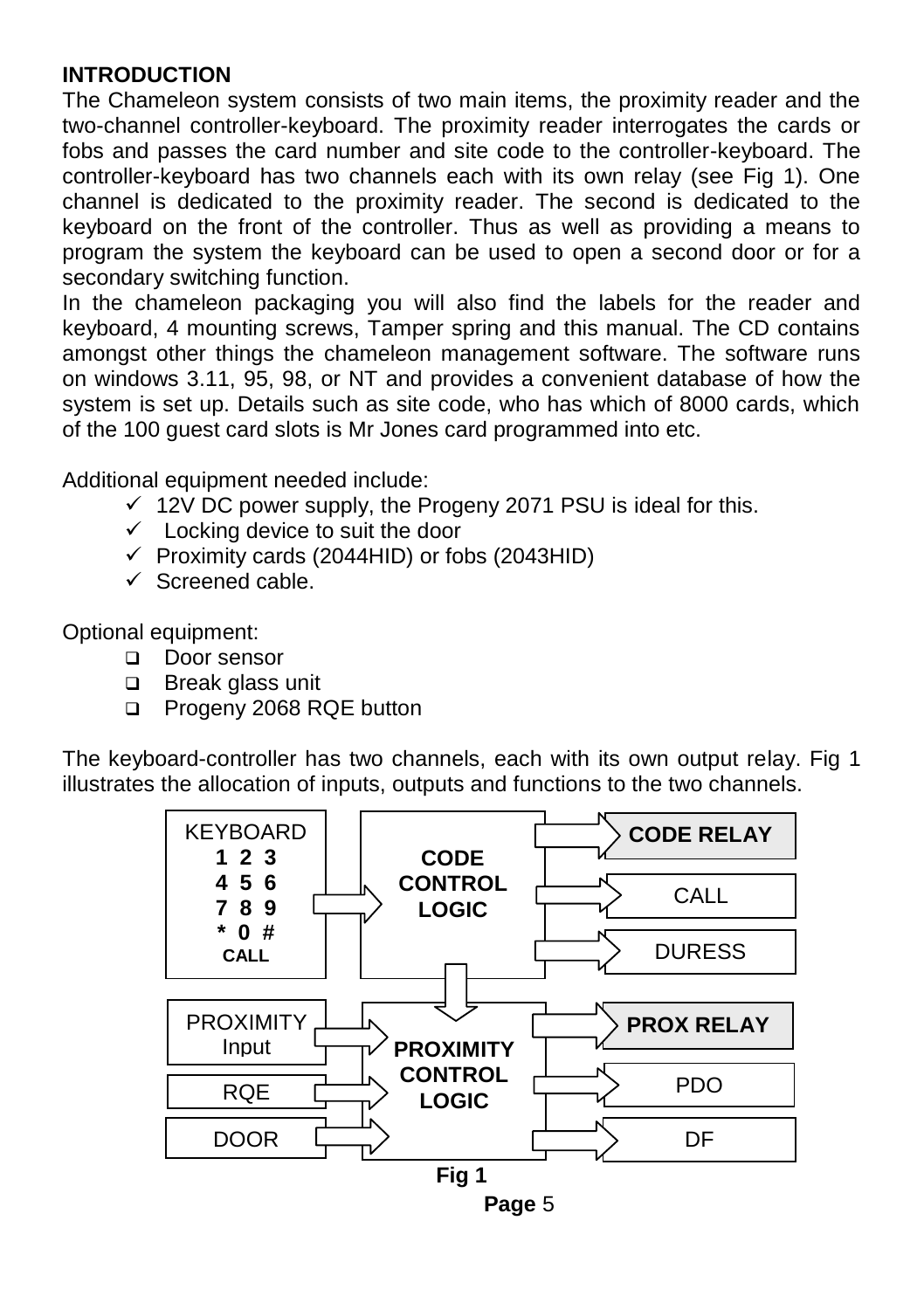#### **INTRODUCTION**

The Chameleon system consists of two main items, the proximity reader and the two-channel controller-keyboard. The proximity reader interrogates the cards or fobs and passes the card number and site code to the controller-keyboard. The controller-keyboard has two channels each with its own relay (see Fig 1). One channel is dedicated to the proximity reader. The second is dedicated to the keyboard on the front of the controller. Thus as well as providing a means to program the system the keyboard can be used to open a second door or for a secondary switching function.

In the chameleon packaging you will also find the labels for the reader and keyboard, 4 mounting screws, Tamper spring and this manual. The CD contains amongst other things the chameleon management software. The software runs on windows 3.11, 95, 98, or NT and provides a convenient database of how the system is set up. Details such as site code, who has which of 8000 cards, which of the 100 guest card slots is Mr Jones card programmed into etc.

Additional equipment needed include:

- $\checkmark$  12V DC power supply, the Progeny 2071 PSU is ideal for this.
- $\checkmark$  Locking device to suit the door
- $\checkmark$  Proximity cards (2044HID) or fobs (2043HID)
- $\checkmark$  Screened cable.

Optional equipment:

- Door sensor
- □ Break glass unit
- □ Progeny 2068 RQE button

The keyboard-controller has two channels, each with its own output relay. Fig 1 illustrates the allocation of inputs, outputs and functions to the two channels.

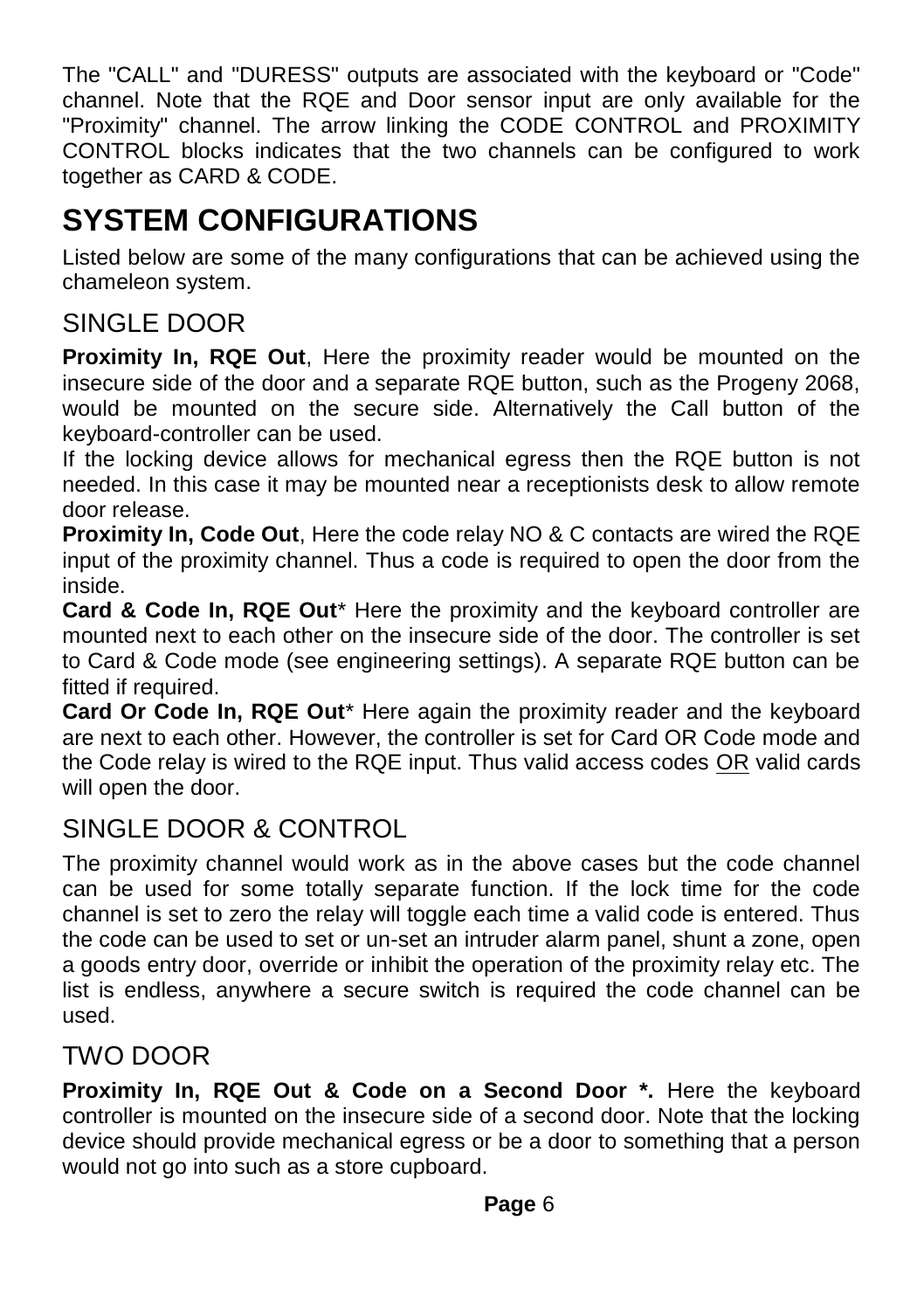The "CALL" and "DURESS" outputs are associated with the keyboard or "Code" channel. Note that the RQE and Door sensor input are only available for the "Proximity" channel. The arrow linking the CODE CONTROL and PROXIMITY CONTROL blocks indicates that the two channels can be configured to work together as CARD & CODE.

#### **SYSTEM CONFIGURATIONS**

Listed below are some of the many configurations that can be achieved using the chameleon system.

#### SINGLE DOOR

**Proximity In, RQE Out**, Here the proximity reader would be mounted on the insecure side of the door and a separate RQE button, such as the Progeny 2068, would be mounted on the secure side. Alternatively the Call button of the keyboard-controller can be used.

If the locking device allows for mechanical egress then the RQE button is not needed. In this case it may be mounted near a receptionists desk to allow remote door release.

**Proximity In, Code Out**, Here the code relay NO & C contacts are wired the RQE input of the proximity channel. Thus a code is required to open the door from the inside.

**Card & Code In, RQE Out**\* Here the proximity and the keyboard controller are mounted next to each other on the insecure side of the door. The controller is set to Card & Code mode (see engineering settings). A separate RQE button can be fitted if required.

**Card Or Code In, RQE Out**\* Here again the proximity reader and the keyboard are next to each other. However, the controller is set for Card OR Code mode and the Code relay is wired to the RQE input. Thus valid access codes OR valid cards will open the door.

#### SINGLE DOOR & CONTROL

The proximity channel would work as in the above cases but the code channel can be used for some totally separate function. If the lock time for the code channel is set to zero the relay will toggle each time a valid code is entered. Thus the code can be used to set or un-set an intruder alarm panel, shunt a zone, open a goods entry door, override or inhibit the operation of the proximity relay etc. The list is endless, anywhere a secure switch is required the code channel can be used.

#### TWO DOOR

**Proximity In, RQE Out & Code on a Second Door \*.** Here the keyboard controller is mounted on the insecure side of a second door. Note that the locking device should provide mechanical egress or be a door to something that a person would not go into such as a store cupboard.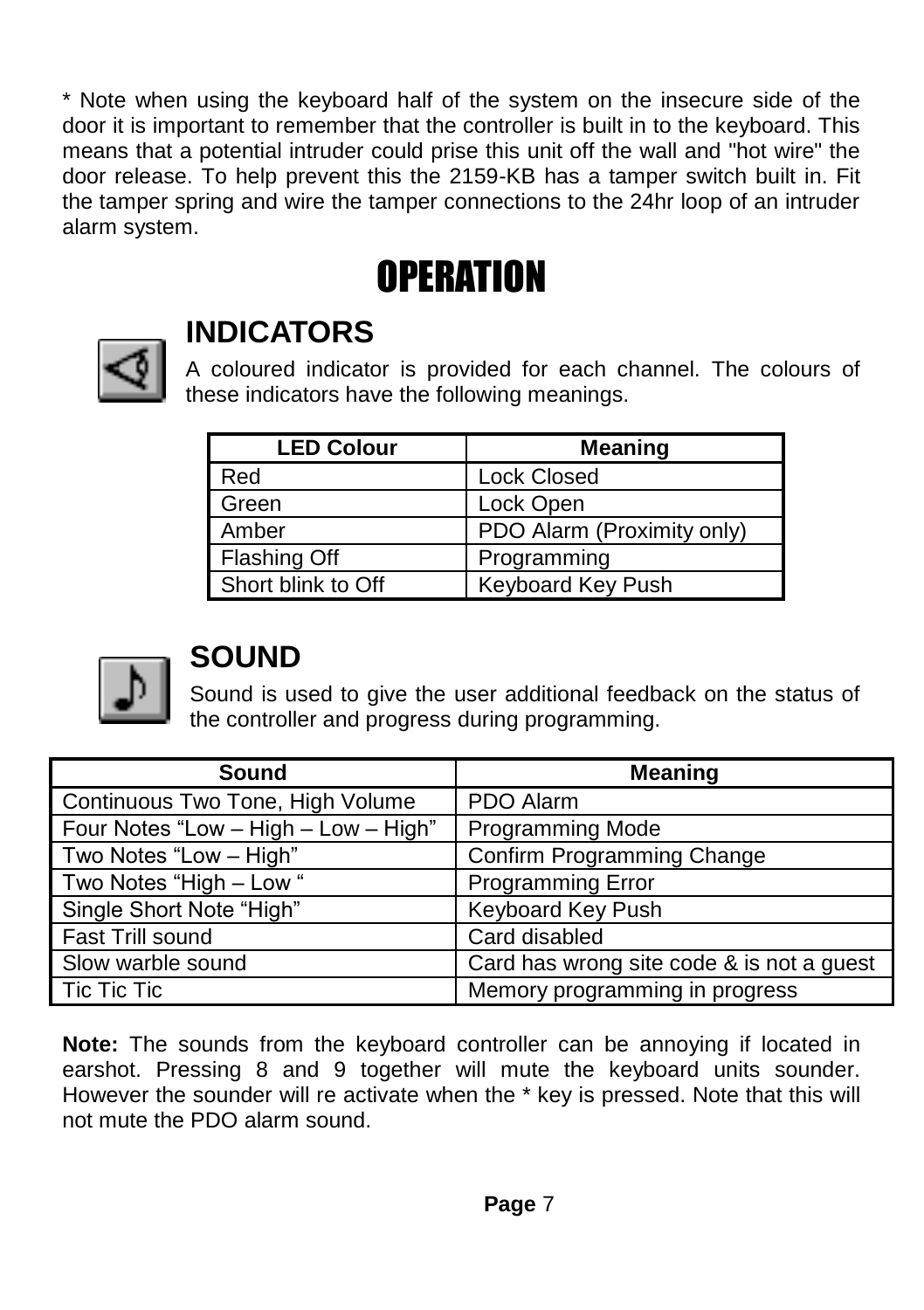\* Note when using the keyboard half of the system on the insecure side of the door it is important to remember that the controller is built in to the keyboard. This means that a potential intruder could prise this unit off the wall and "hot wire" the door release. To help prevent this the 2159-KB has a tamper switch built in. Fit the tamper spring and wire the tamper connections to the 24hr loop of an intruder alarm system.

## **OPERATION**



#### **INDICATORS**

A coloured indicator is provided for each channel. The colours of these indicators have the following meanings.

| <b>LED Colour</b>   | <b>Meaning</b>             |
|---------------------|----------------------------|
| Red                 | <b>Lock Closed</b>         |
| Green               | Lock Open                  |
| Amber               | PDO Alarm (Proximity only) |
| <b>Flashing Off</b> | Programming                |
| Short blink to Off  | Keyboard Key Push          |



#### **SOUND**

Sound is used to give the user additional feedback on the status of the controller and progress during programming.

| Sound                                | <b>Meaning</b>                            |
|--------------------------------------|-------------------------------------------|
| Continuous Two Tone, High Volume     | PDO Alarm                                 |
| Four Notes "Low - High - Low - High" | <b>Programming Mode</b>                   |
| Two Notes "Low - High"               | Confirm Programming Change                |
| Two Notes "High - Low "              | <b>Programming Error</b>                  |
| Single Short Note "High"             | Keyboard Key Push                         |
| Fast Trill sound                     | Card disabled                             |
| Slow warble sound                    | Card has wrong site code & is not a guest |
| Tic Tic Tic                          | Memory programming in progress            |

**Note:** The sounds from the keyboard controller can be annoying if located in earshot. Pressing 8 and 9 together will mute the keyboard units sounder. However the sounder will re activate when the \* key is pressed. Note that this will not mute the PDO alarm sound.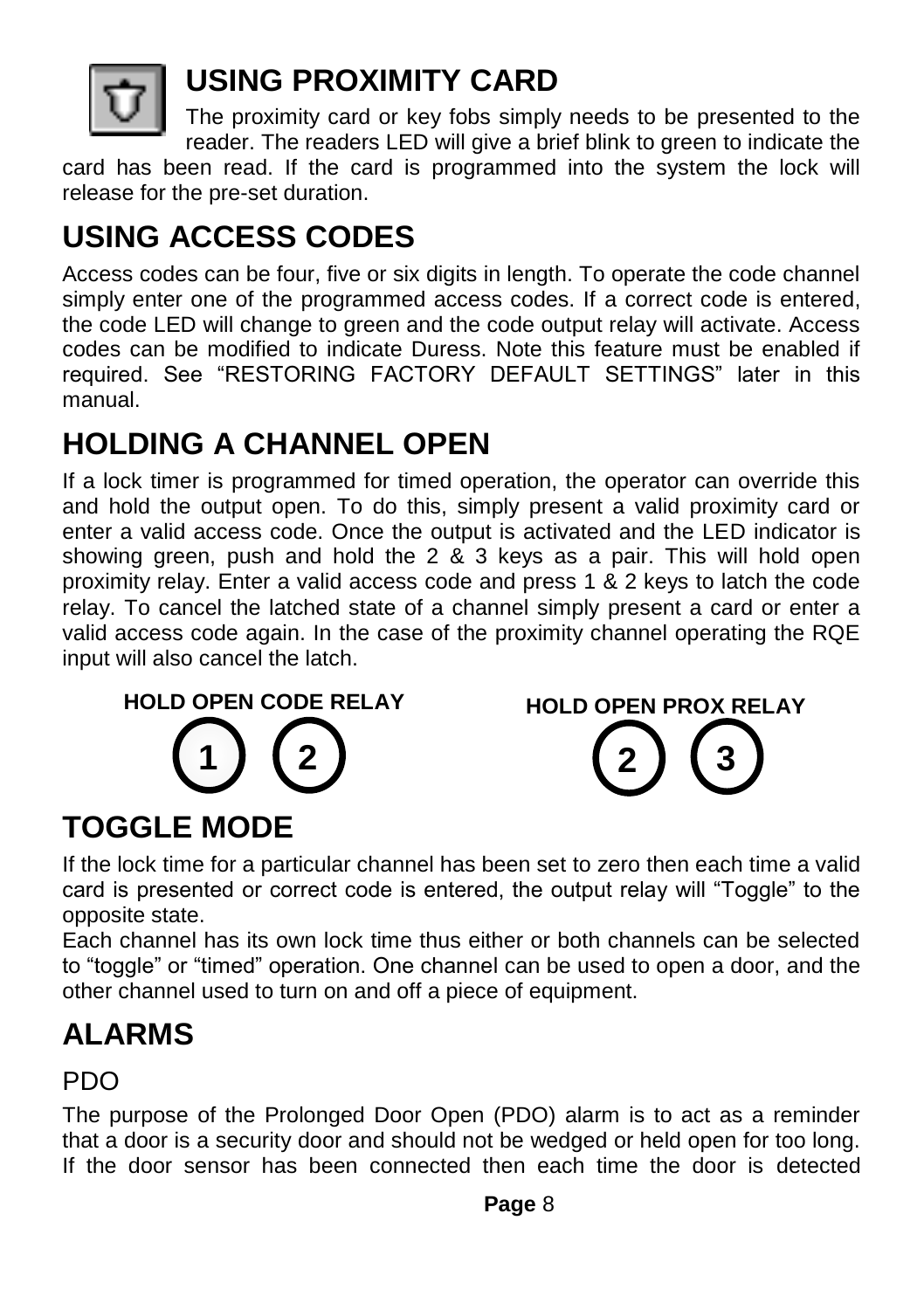

#### **USING PROXIMITY CARD**

The proximity card or key fobs simply needs to be presented to the reader. The readers LED will give a brief blink to green to indicate the

card has been read. If the card is programmed into the system the lock will release for the pre-set duration.

## **USING ACCESS CODES**

Access codes can be four, five or six digits in length. To operate the code channel simply enter one of the programmed access codes. If a correct code is entered, the code LED will change to green and the code output relay will activate. Access codes can be modified to indicate Duress. Note this feature must be enabled if required. See "RESTORING FACTORY DEFAULT SETTINGS" later in this manual.

#### **HOLDING A CHANNEL OPEN**

If a lock timer is programmed for timed operation, the operator can override this and hold the output open. To do this, simply present a valid proximity card or enter a valid access code. Once the output is activated and the LED indicator is showing green, push and hold the 2 & 3 keys as a pair. This will hold open proximity relay. Enter a valid access code and press 1 & 2 keys to latch the code relay. To cancel the latched state of a channel simply present a card or enter a valid access code again. In the case of the proximity channel operating the RQE input will also cancel the latch.





## **TOGGLE MODE**

If the lock time for a particular channel has been set to zero then each time a valid card is presented or correct code is entered, the output relay will "Toggle" to the opposite state.

Each channel has its own lock time thus either or both channels can be selected to "toggle" or "timed" operation. One channel can be used to open a door, and the other channel used to turn on and off a piece of equipment.

## **ALARMS**

#### PDO

The purpose of the Prolonged Door Open (PDO) alarm is to act as a reminder that a door is a security door and should not be wedged or held open for too long. If the door sensor has been connected then each time the door is detected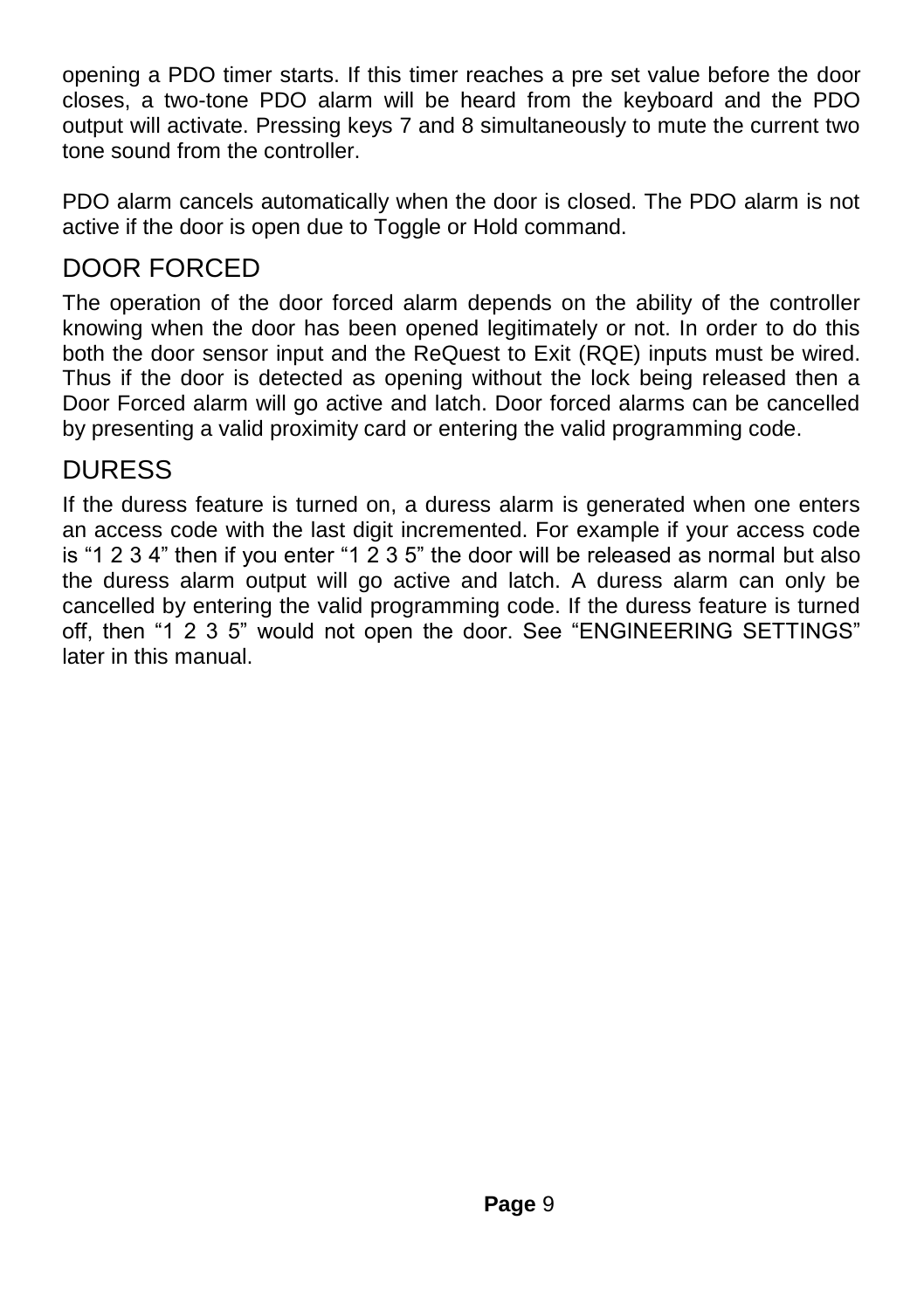opening a PDO timer starts. If this timer reaches a pre set value before the door closes, a two-tone PDO alarm will be heard from the keyboard and the PDO output will activate. Pressing keys 7 and 8 simultaneously to mute the current two tone sound from the controller.

PDO alarm cancels automatically when the door is closed. The PDO alarm is not active if the door is open due to Toggle or Hold command.

#### DOOR FORCED

The operation of the door forced alarm depends on the ability of the controller knowing when the door has been opened legitimately or not. In order to do this both the door sensor input and the ReQuest to Exit (RQE) inputs must be wired. Thus if the door is detected as opening without the lock being released then a Door Forced alarm will go active and latch. Door forced alarms can be cancelled by presenting a valid proximity card or entering the valid programming code.

#### DURESS

If the duress feature is turned on, a duress alarm is generated when one enters an access code with the last digit incremented. For example if your access code is "1 2 3 4" then if you enter "1 2 3 5" the door will be released as normal but also the duress alarm output will go active and latch. A duress alarm can only be cancelled by entering the valid programming code. If the duress feature is turned off, then "1 2 3 5" would not open the door. See "ENGINEERING SETTINGS" later in this manual.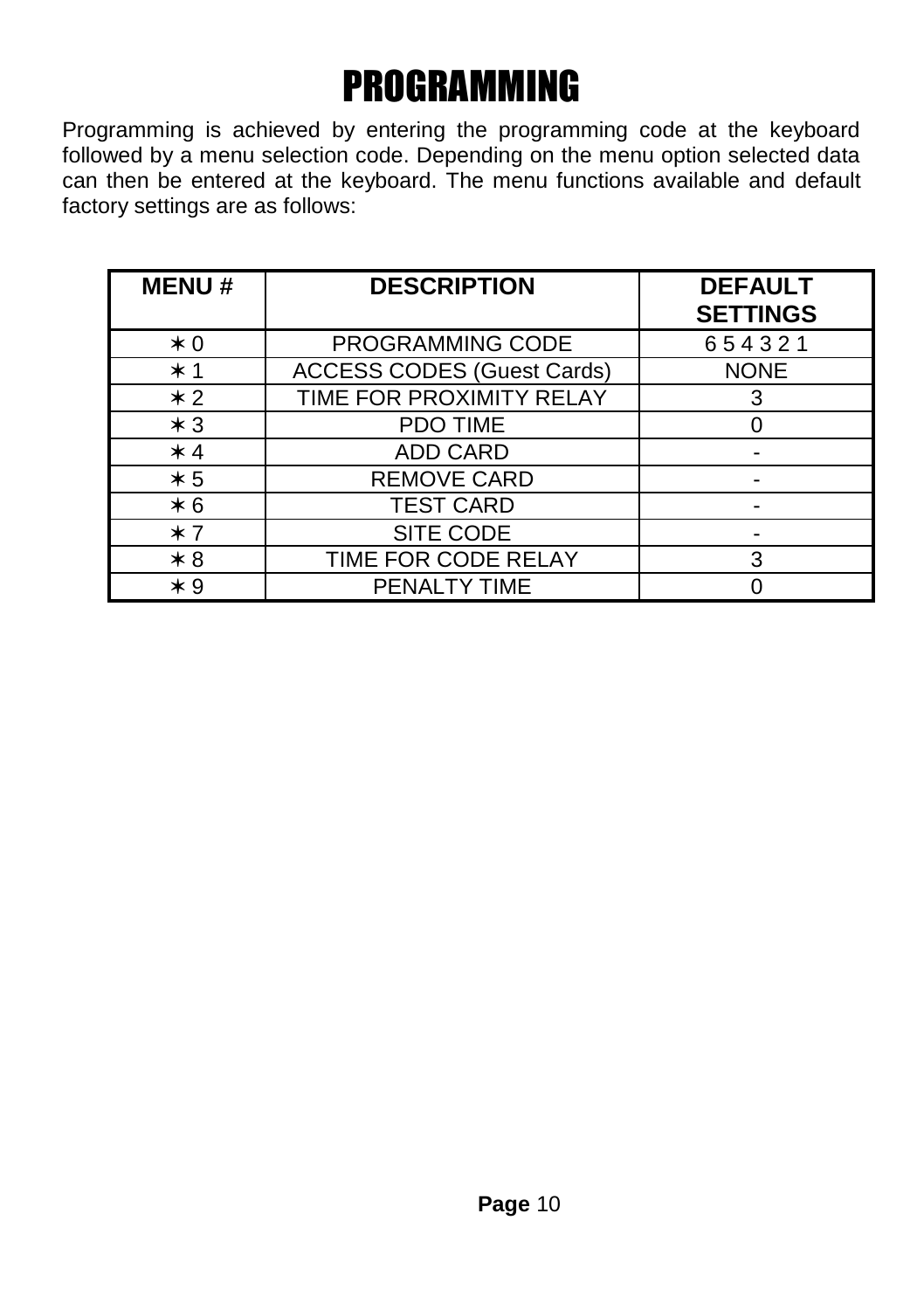# PROGRAMMING

Programming is achieved by entering the programming code at the keyboard followed by a menu selection code. Depending on the menu option selected data can then be entered at the keyboard. The menu functions available and default factory settings are as follows:

| <b>MENU#</b> | <b>DESCRIPTION</b>                | <b>DEFAULT</b><br><b>SETTINGS</b> |
|--------------|-----------------------------------|-----------------------------------|
| $*0$         | PROGRAMMING CODE                  | 654321                            |
| $*1$         | <b>ACCESS CODES (Guest Cards)</b> | <b>NONE</b>                       |
| $*2$         | TIME FOR PROXIMITY RELAY          | 3                                 |
| $*3$         | <b>PDO TIME</b>                   |                                   |
| $*4$         | ADD CARD                          |                                   |
| $*5$         | <b>REMOVE CARD</b>                |                                   |
| $*6$         | <b>TEST CARD</b>                  |                                   |
| $*7$         | SITE CODE                         |                                   |
| $*8$         | TIME FOR CODE RELAY               | 3                                 |
| $*9$         | PENALTY TIME                      |                                   |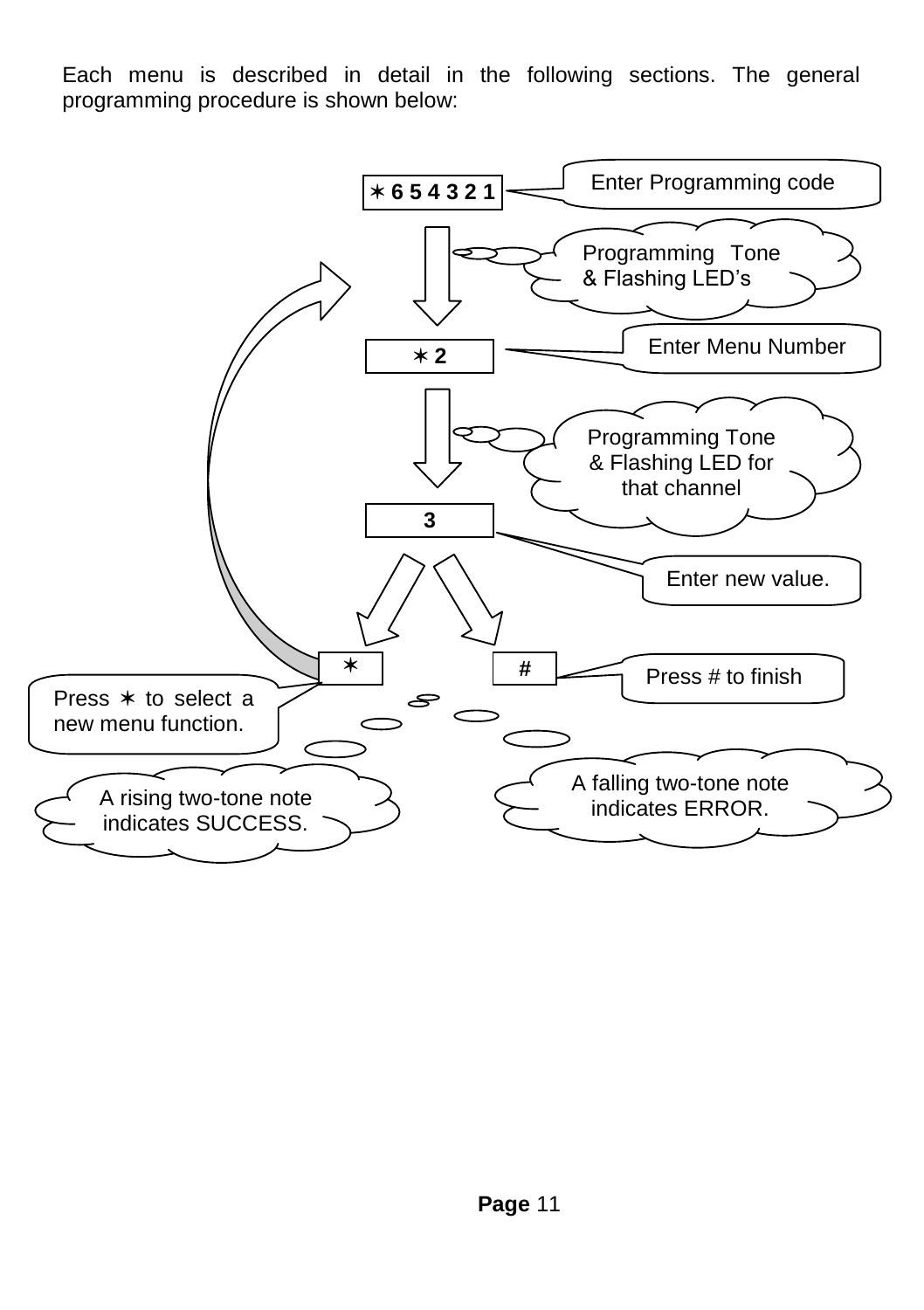Each menu is described in detail in the following sections. The general programming procedure is shown below:

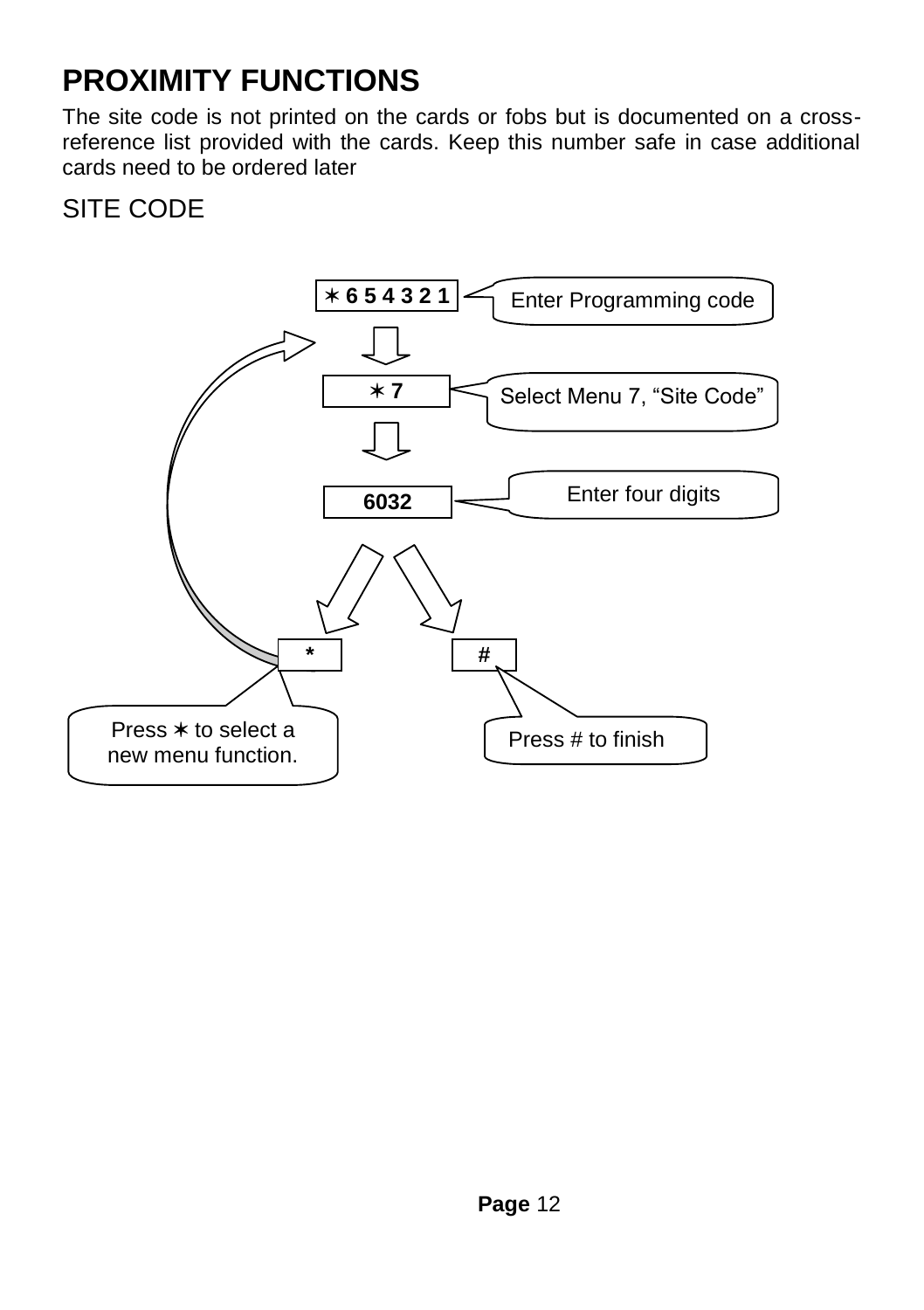#### **PROXIMITY FUNCTIONS**

The site code is not printed on the cards or fobs but is documented on a crossreference list provided with the cards. Keep this number safe in case additional cards need to be ordered later

#### SITE CODE

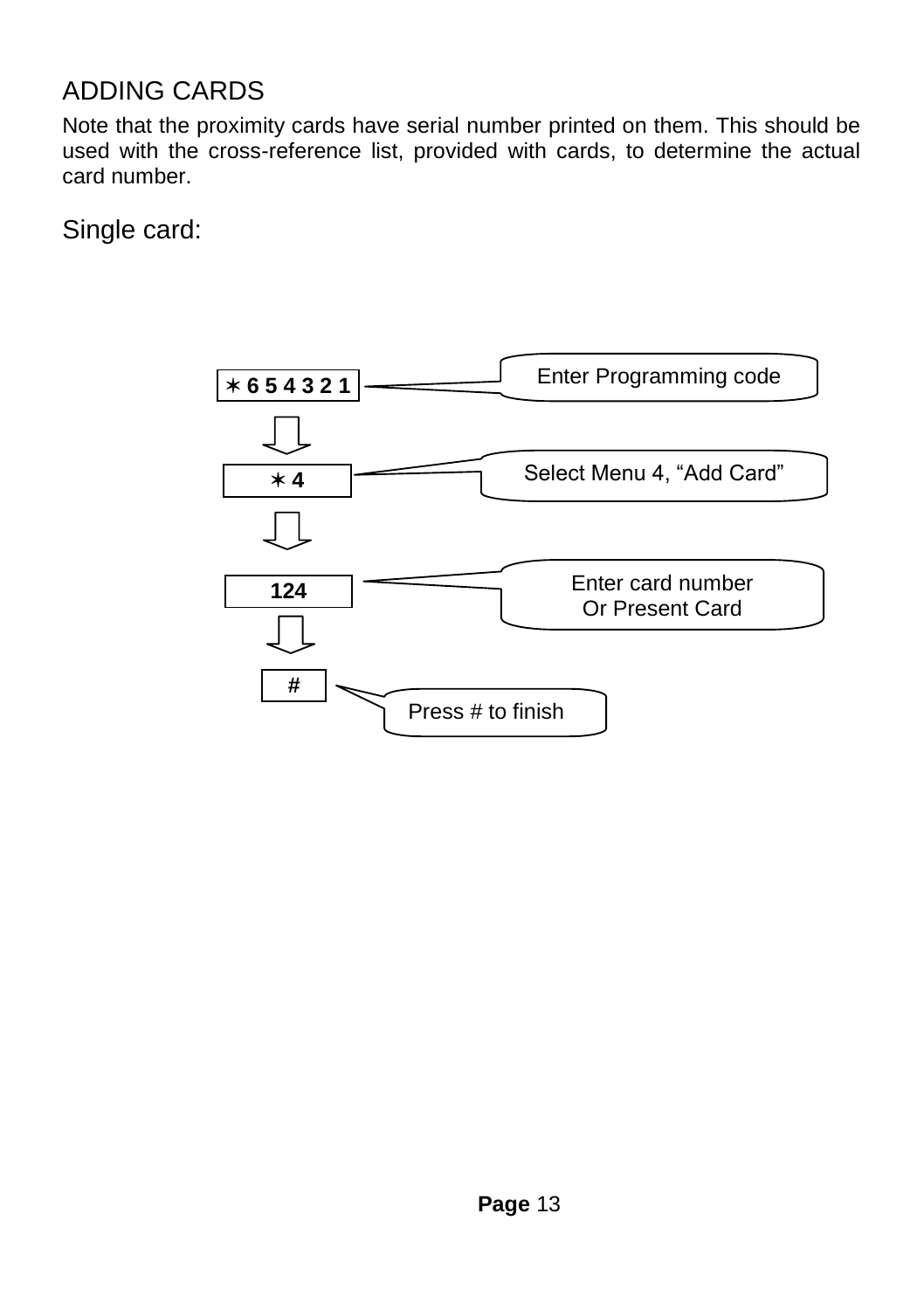#### ADDING CARDS

Note that the proximity cards have serial number printed on them. This should be used with the cross-reference list, provided with cards, to determine the actual card number.

Single card:

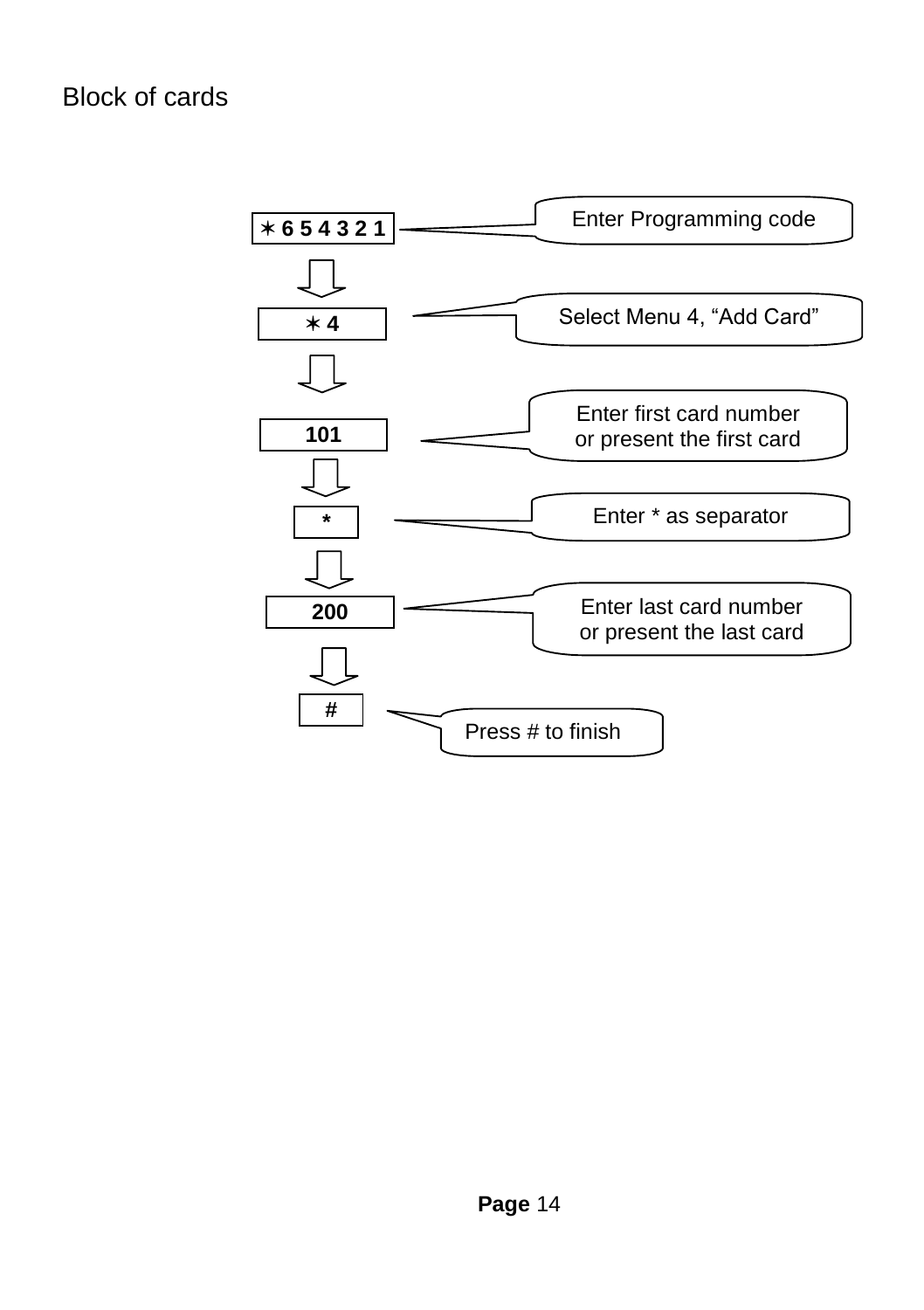Block of cards

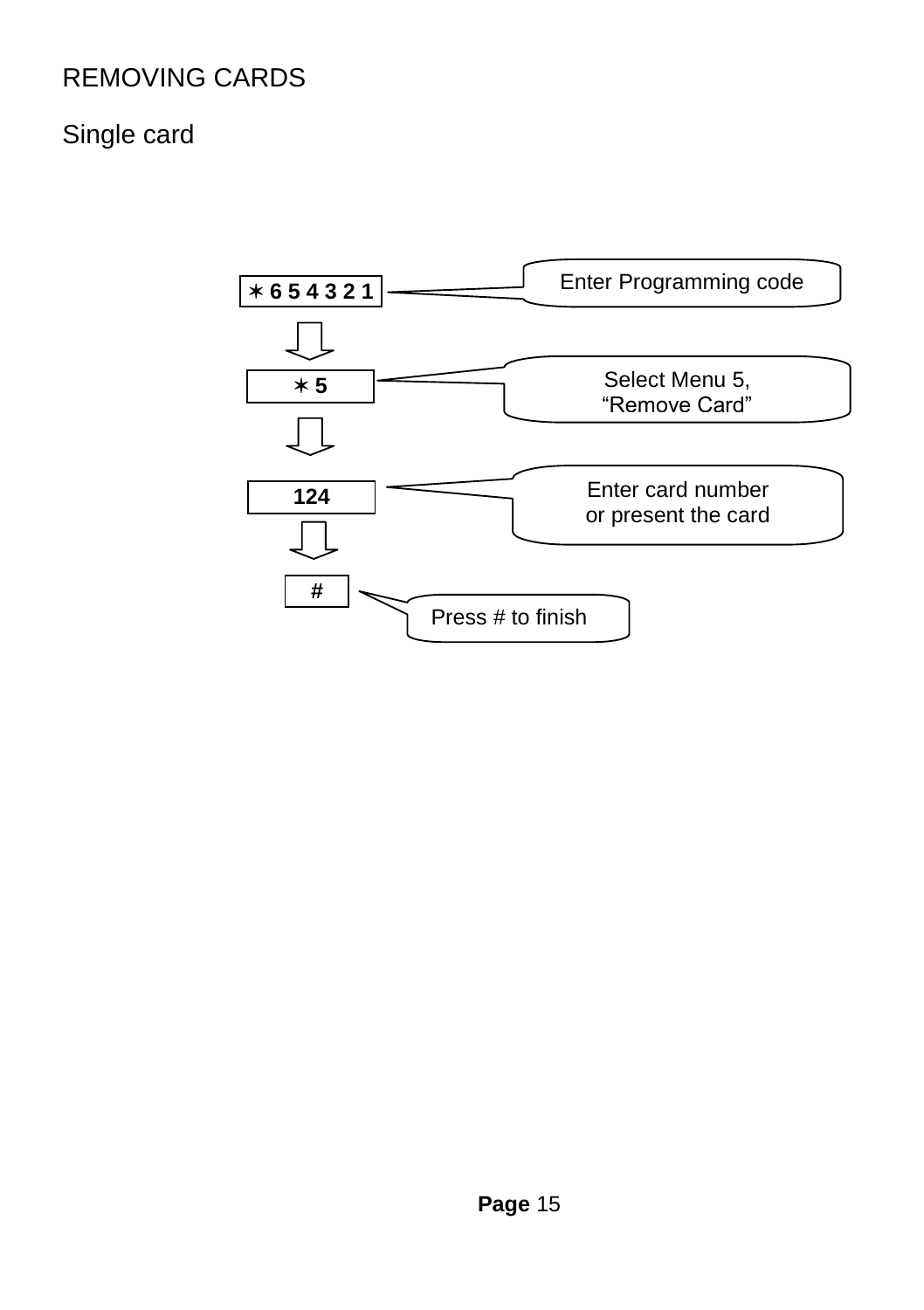#### REMOVING CARDS

#### Single card

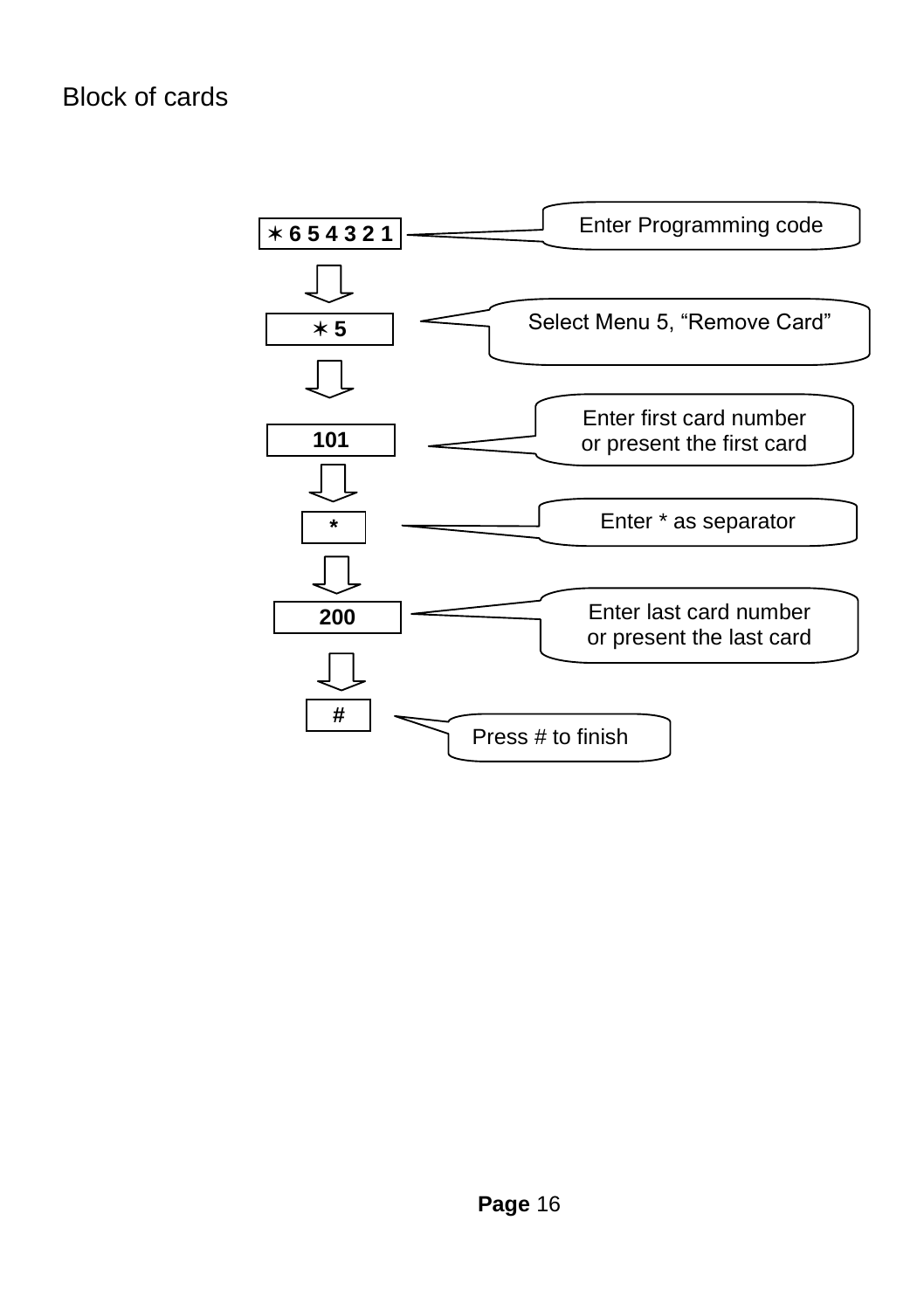Block of cards

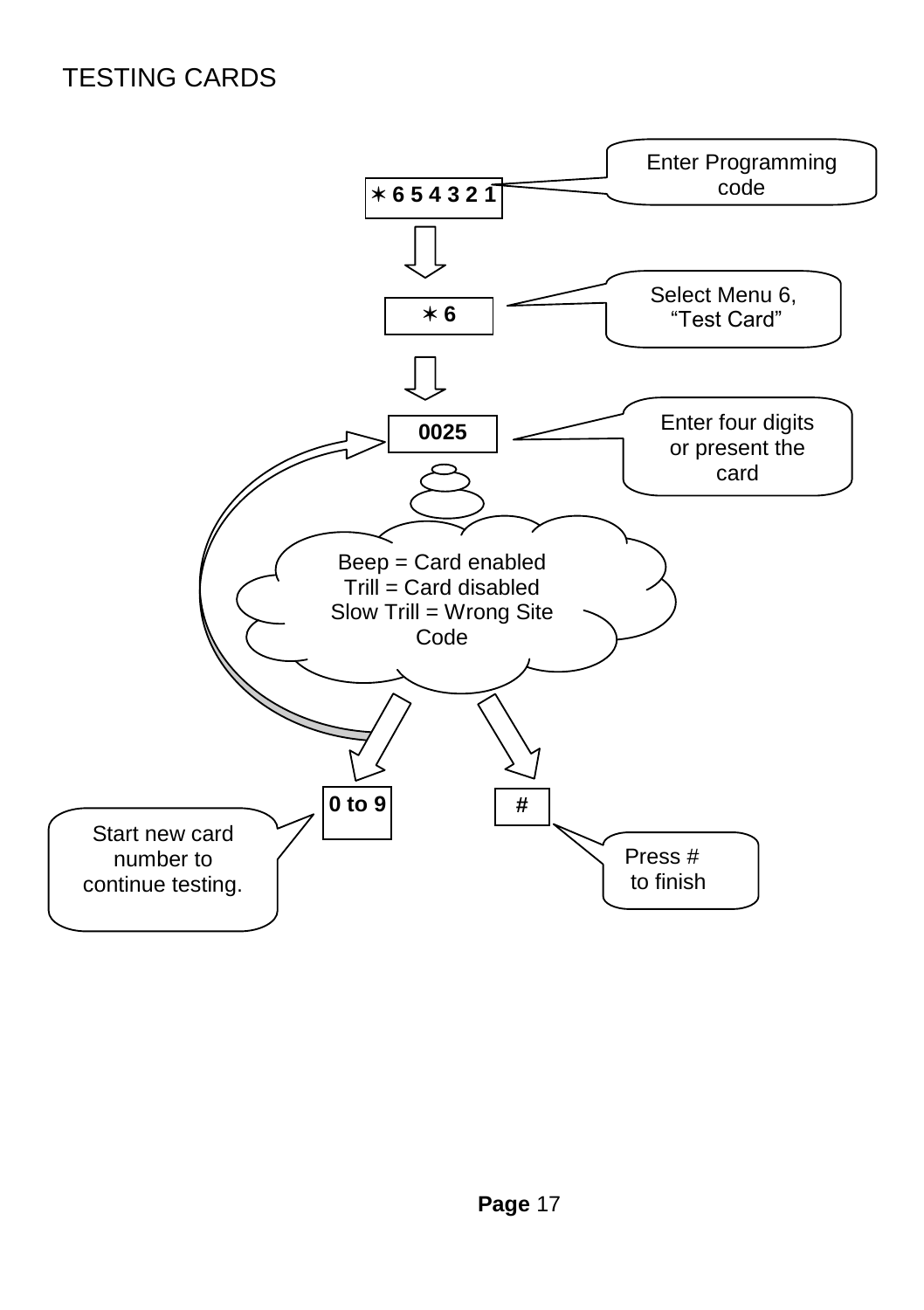#### TESTING CARDS

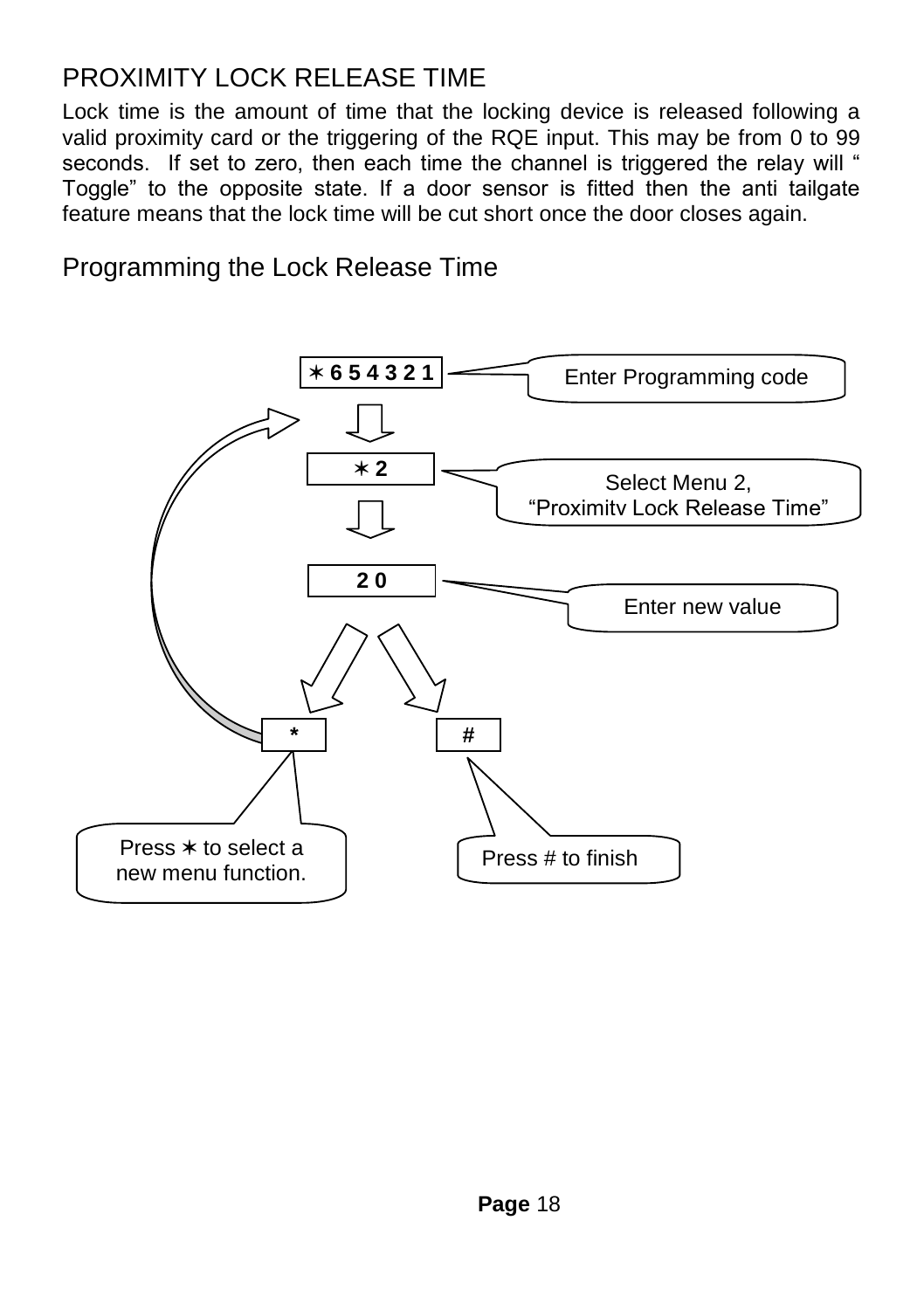#### PROXIMITY LOCK RELEASE TIME

Lock time is the amount of time that the locking device is released following a valid proximity card or the triggering of the RQE input. This may be from 0 to 99 seconds. If set to zero, then each time the channel is triggered the relay will " Toggle" to the opposite state. If a door sensor is fitted then the anti tailgate feature means that the lock time will be cut short once the door closes again.

Programming the Lock Release Time

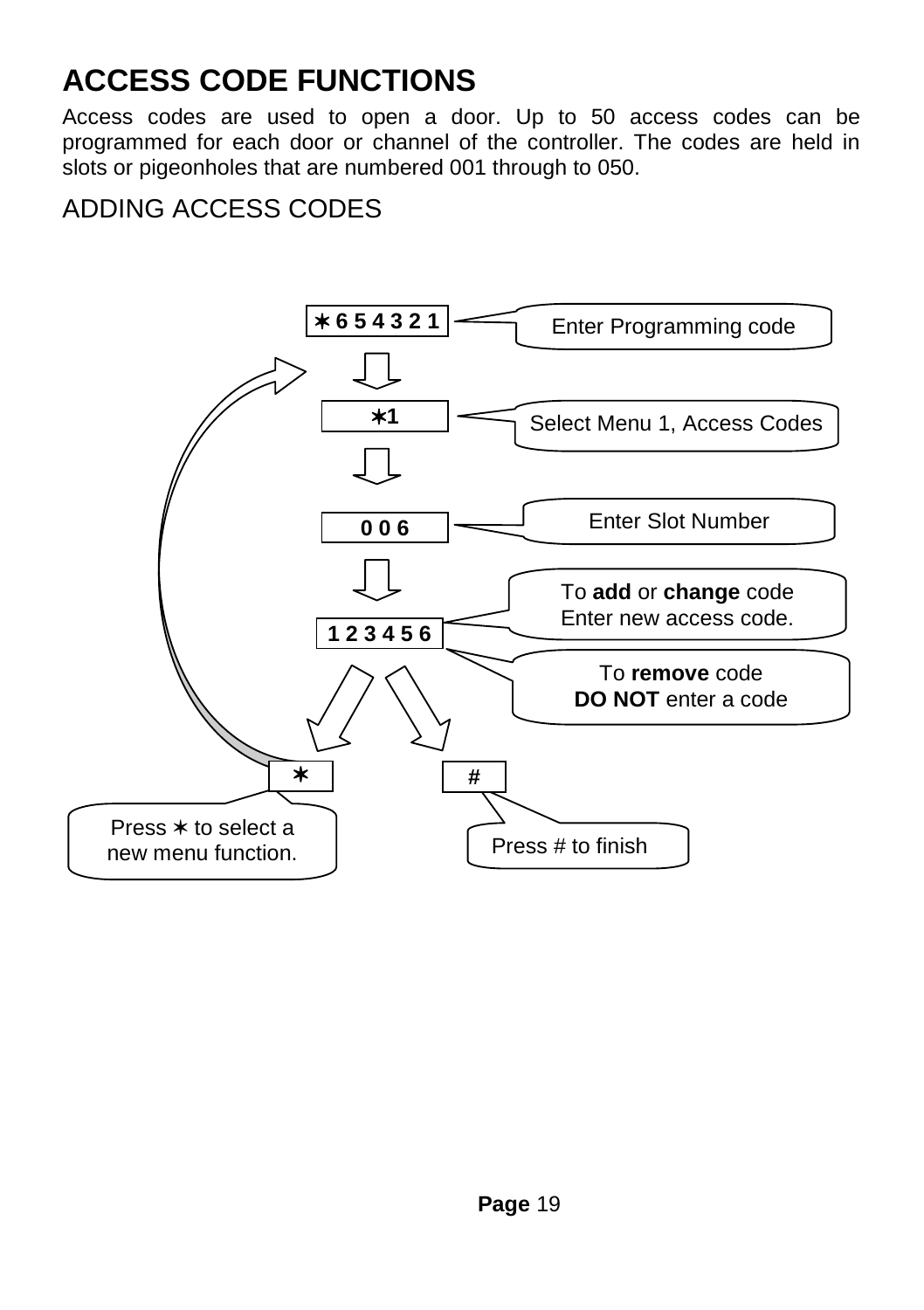## **ACCESS CODE FUNCTIONS**

Access codes are used to open a door. Up to 50 access codes can be programmed for each door or channel of the controller. The codes are held in slots or pigeonholes that are numbered 001 through to 050.

#### ADDING ACCESS CODES

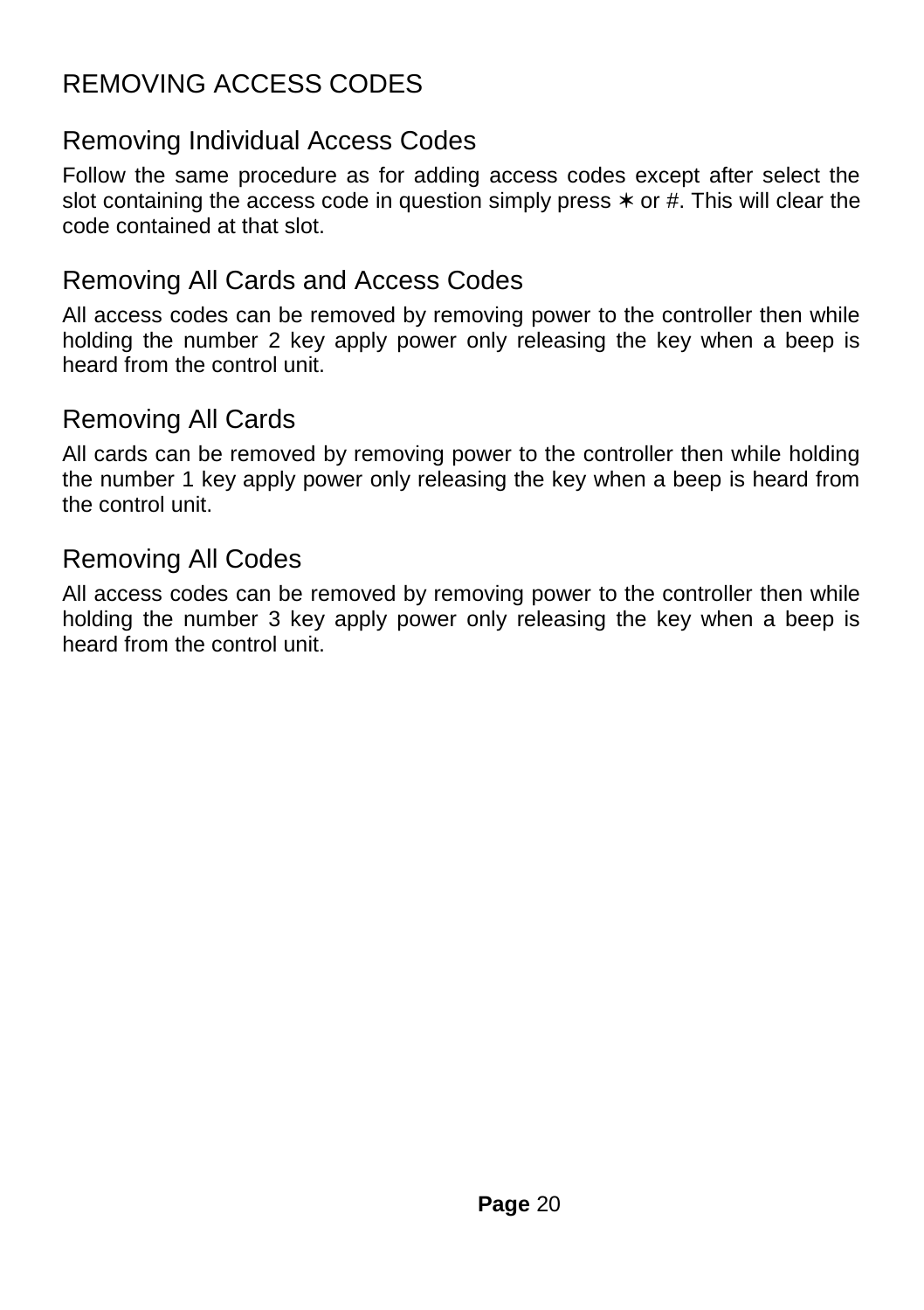#### REMOVING ACCESS CODES

#### Removing Individual Access Codes

Follow the same procedure as for adding access codes except after select the slot containing the access code in question simply press  $*$  or  $#$ . This will clear the code contained at that slot.

#### Removing All Cards and Access Codes

All access codes can be removed by removing power to the controller then while holding the number 2 key apply power only releasing the key when a beep is heard from the control unit.

#### Removing All Cards

All cards can be removed by removing power to the controller then while holding the number 1 key apply power only releasing the key when a beep is heard from the control unit.

#### Removing All Codes

All access codes can be removed by removing power to the controller then while holding the number 3 key apply power only releasing the key when a beep is heard from the control unit.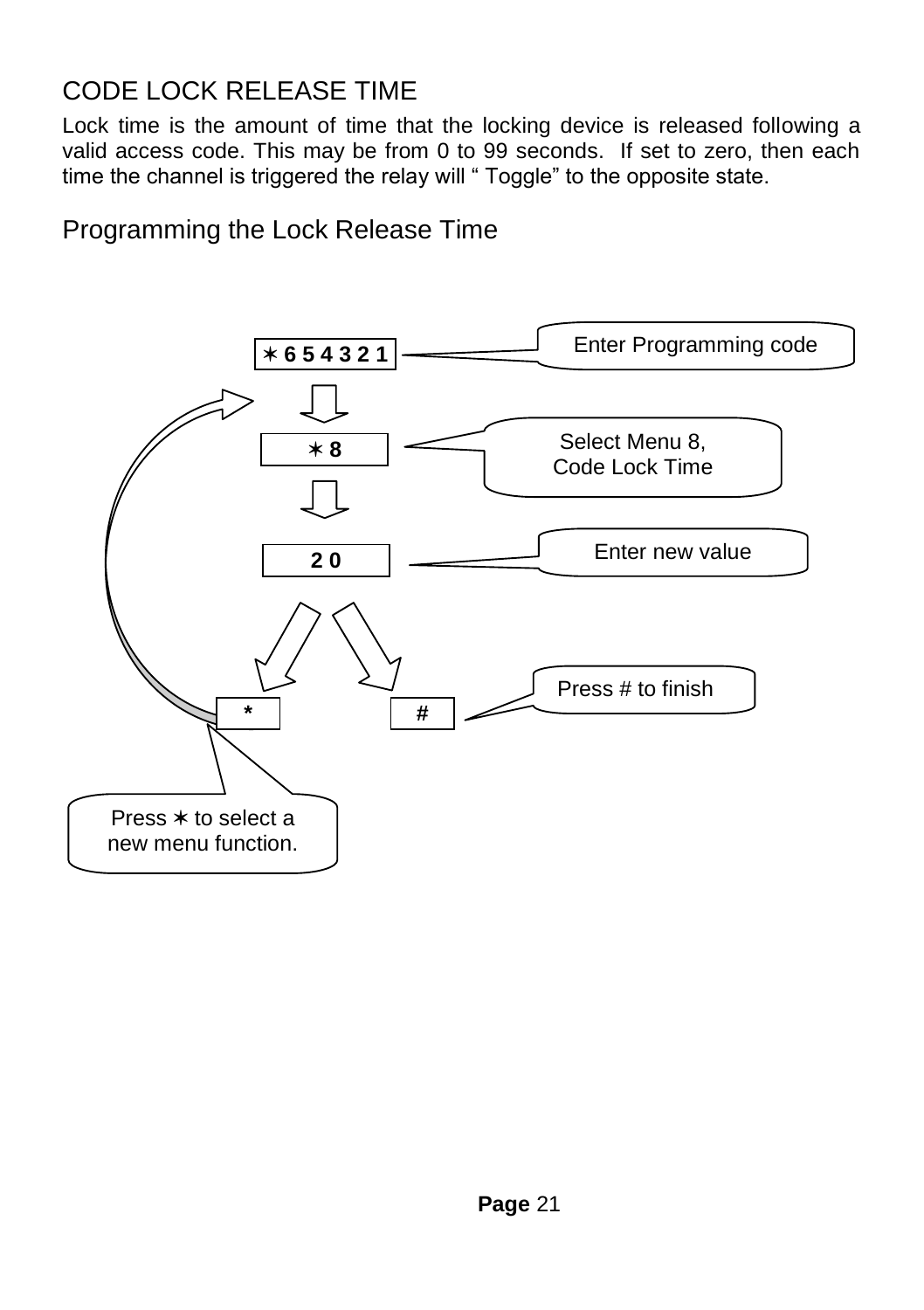#### CODE LOCK RELEASE TIME

Lock time is the amount of time that the locking device is released following a valid access code. This may be from 0 to 99 seconds. If set to zero, then each time the channel is triggered the relay will " Toggle" to the opposite state.

Programming the Lock Release Time

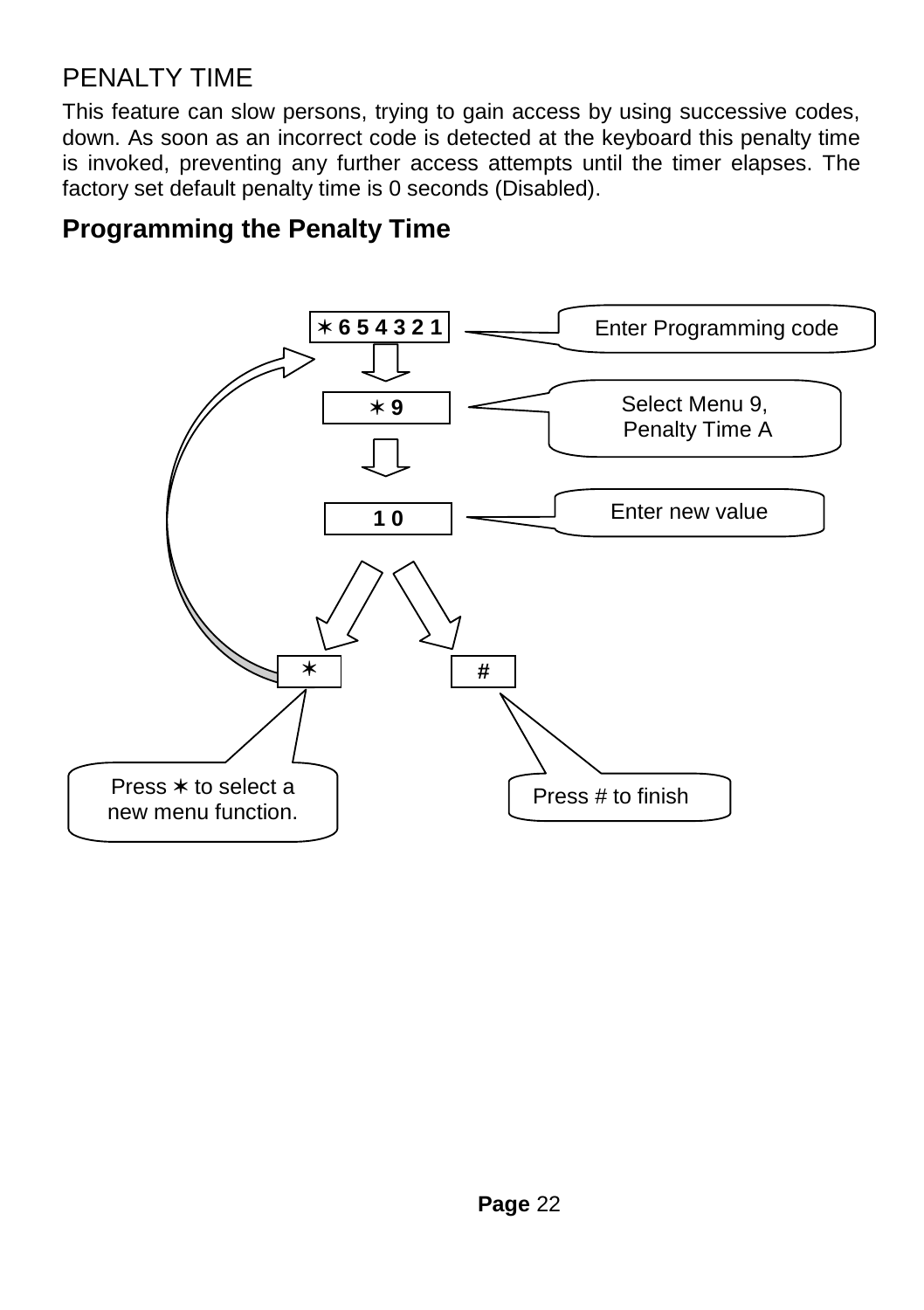#### PENALTY TIME

This feature can slow persons, trying to gain access by using successive codes, down. As soon as an incorrect code is detected at the keyboard this penalty time is invoked, preventing any further access attempts until the timer elapses. The factory set default penalty time is 0 seconds (Disabled).

#### **Programming the Penalty Time**

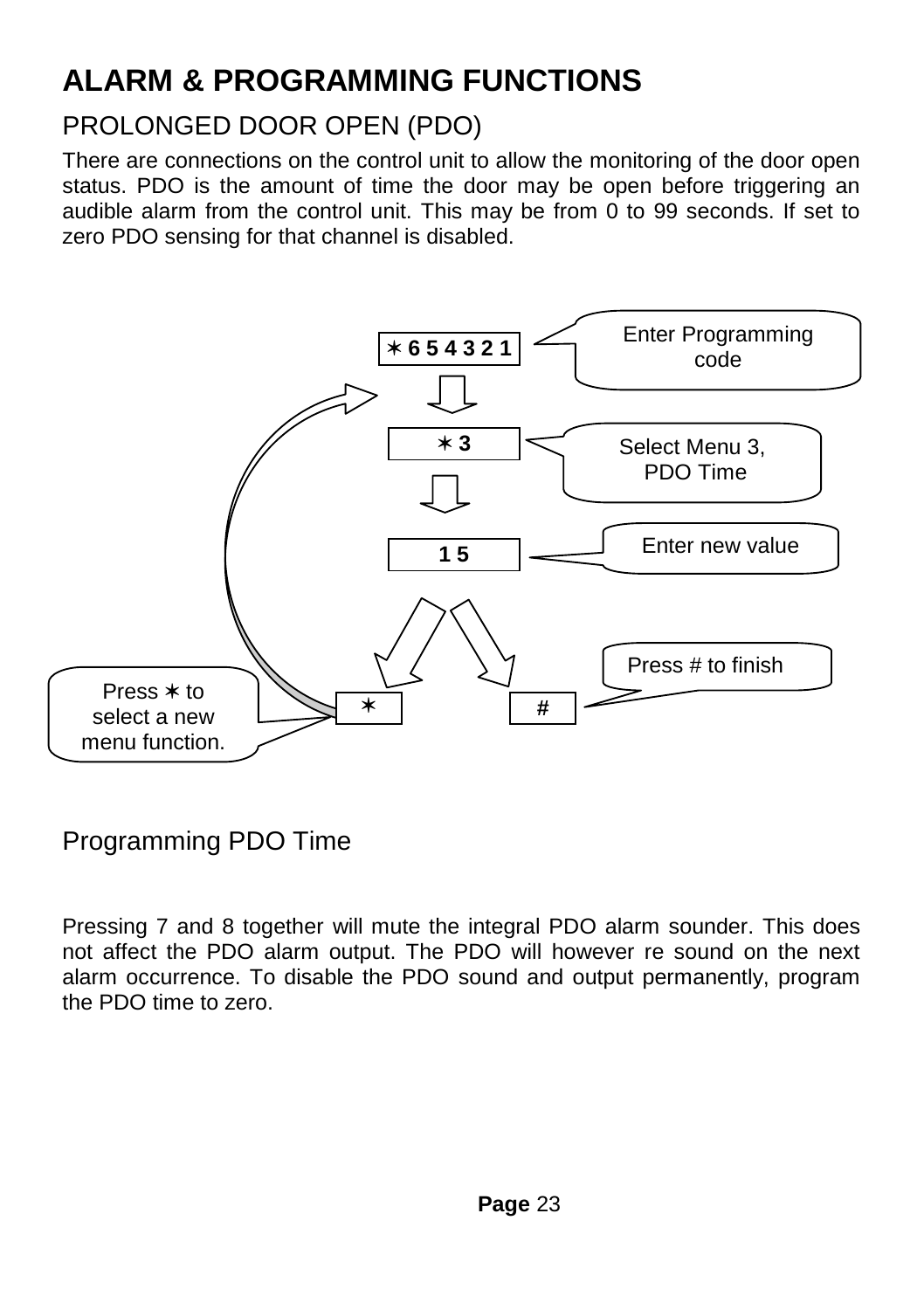## **ALARM & PROGRAMMING FUNCTIONS**

#### PROLONGED DOOR OPEN (PDO)

There are connections on the control unit to allow the monitoring of the door open status. PDO is the amount of time the door may be open before triggering an audible alarm from the control unit. This may be from 0 to 99 seconds. If set to zero PDO sensing for that channel is disabled.



#### Programming PDO Time

Pressing 7 and 8 together will mute the integral PDO alarm sounder. This does not affect the PDO alarm output. The PDO will however re sound on the next alarm occurrence. To disable the PDO sound and output permanently, program the PDO time to zero.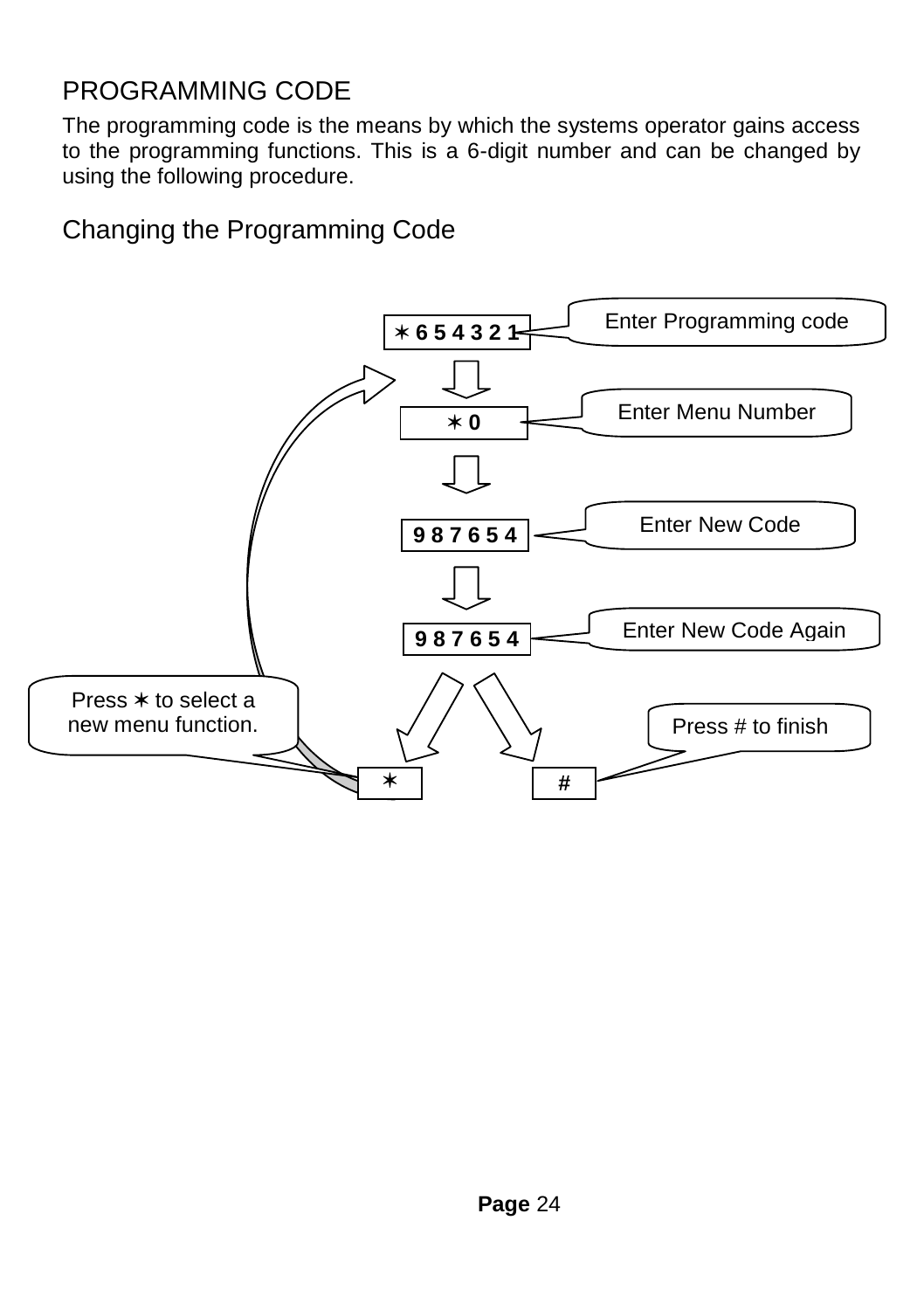#### PROGRAMMING CODE

The programming code is the means by which the systems operator gains access to the programming functions. This is a 6-digit number and can be changed by using the following procedure.

Changing the Programming Code

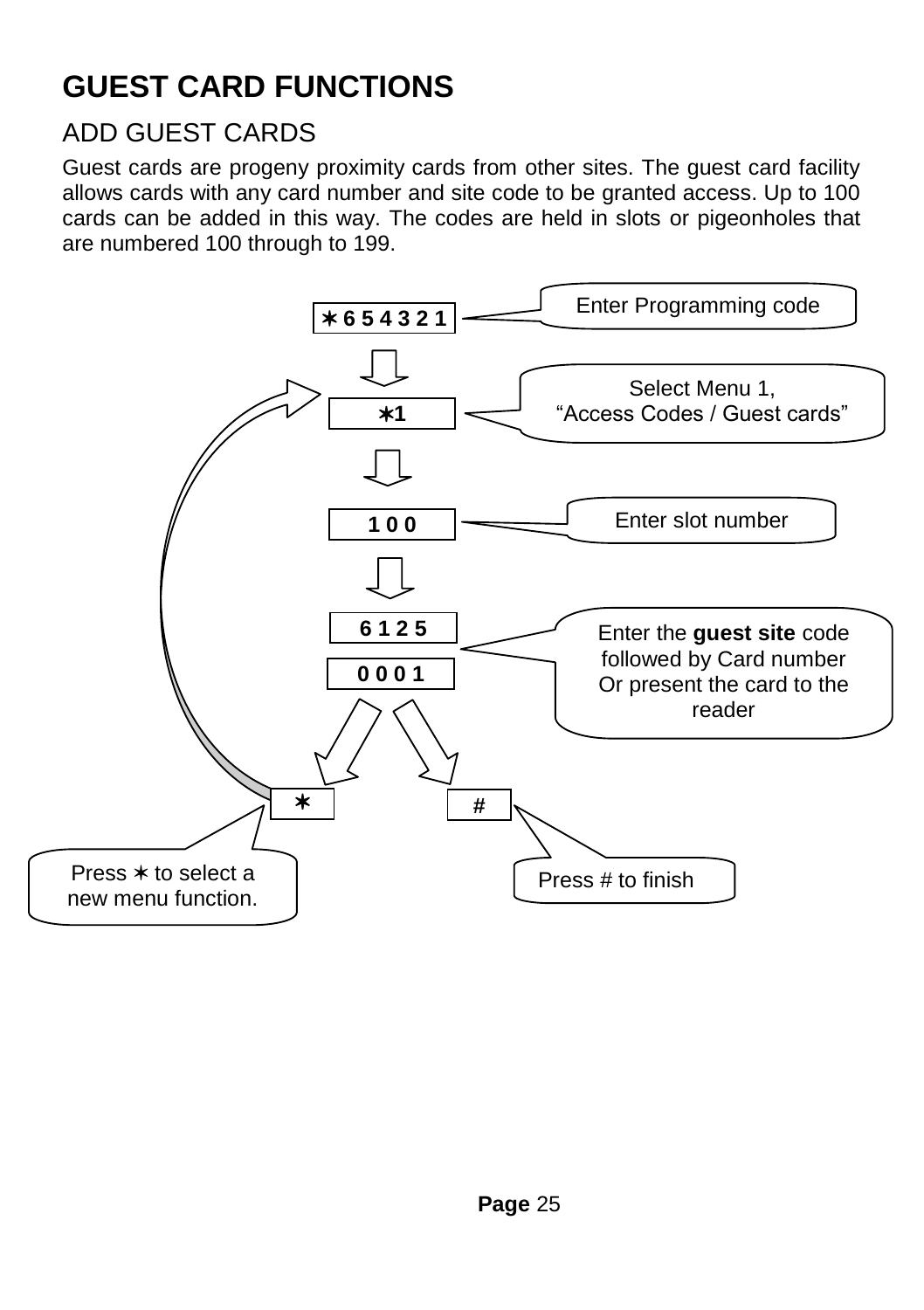#### **GUEST CARD FUNCTIONS**

#### ADD GUEST CARDS

Guest cards are progeny proximity cards from other sites. The guest card facility allows cards with any card number and site code to be granted access. Up to 100 cards can be added in this way. The codes are held in slots or pigeonholes that are numbered 100 through to 199.

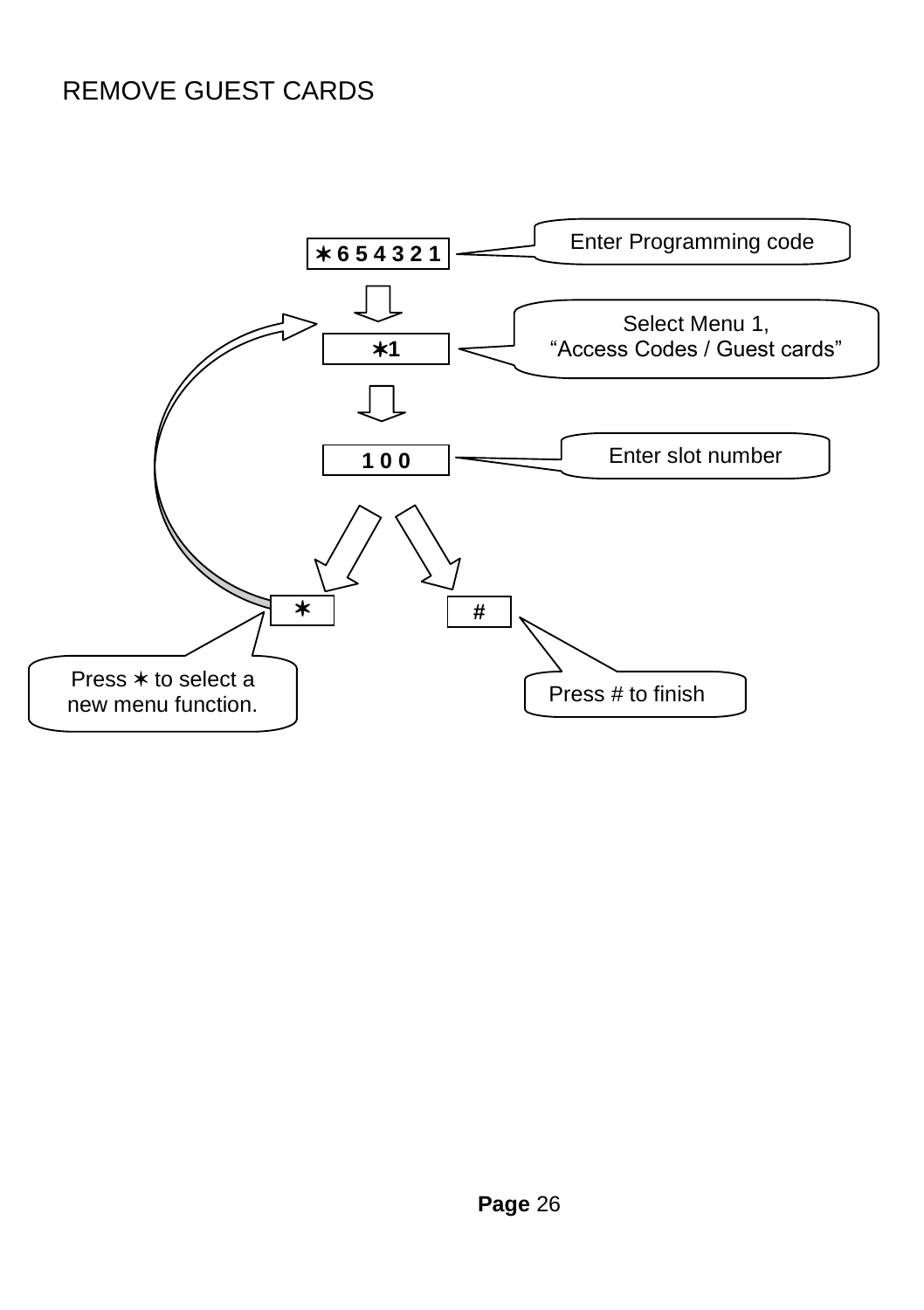#### REMOVE GUEST CARDS

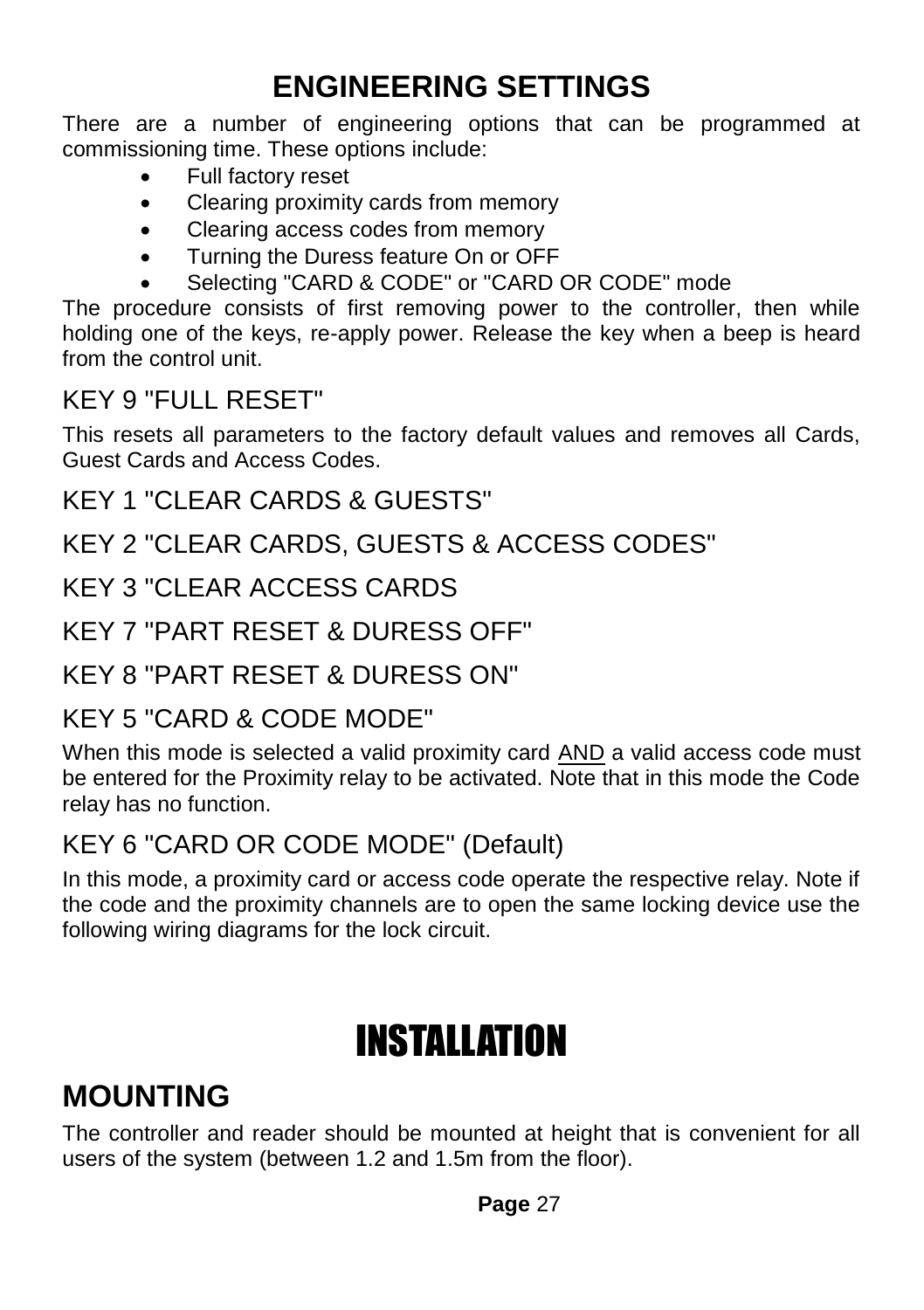#### **ENGINEERING SETTINGS**

There are a number of engineering options that can be programmed at commissioning time. These options include:

- Full factory reset
- Clearing proximity cards from memory
- Clearing access codes from memory
- Turning the Duress feature On or OFF
- Selecting "CARD & CODE" or "CARD OR CODE" mode

The procedure consists of first removing power to the controller, then while holding one of the keys, re-apply power. Release the key when a beep is heard from the control unit.

#### KEY 9 "FULL RESET"

This resets all parameters to the factory default values and removes all Cards, Guest Cards and Access Codes.

#### KEY 1 "CLEAR CARDS & GUESTS"

#### KEY 2 "CLEAR CARDS, GUESTS & ACCESS CODES"

#### KEY 3 "CLEAR ACCESS CARDS

#### KEY 7 "PART RESET & DURESS OFF"

#### KEY 8 "PART RESET & DURESS ON"

#### KEY 5 "CARD & CODE MODE"

When this mode is selected a valid proximity card AND a valid access code must be entered for the Proximity relay to be activated. Note that in this mode the Code relay has no function.

#### KEY 6 "CARD OR CODE MODE" (Default)

In this mode, a proximity card or access code operate the respective relay. Note if the code and the proximity channels are to open the same locking device use the following wiring diagrams for the lock circuit.

# INSTALLATION

#### **MOUNTING**

The controller and reader should be mounted at height that is convenient for all users of the system (between 1.2 and 1.5m from the floor).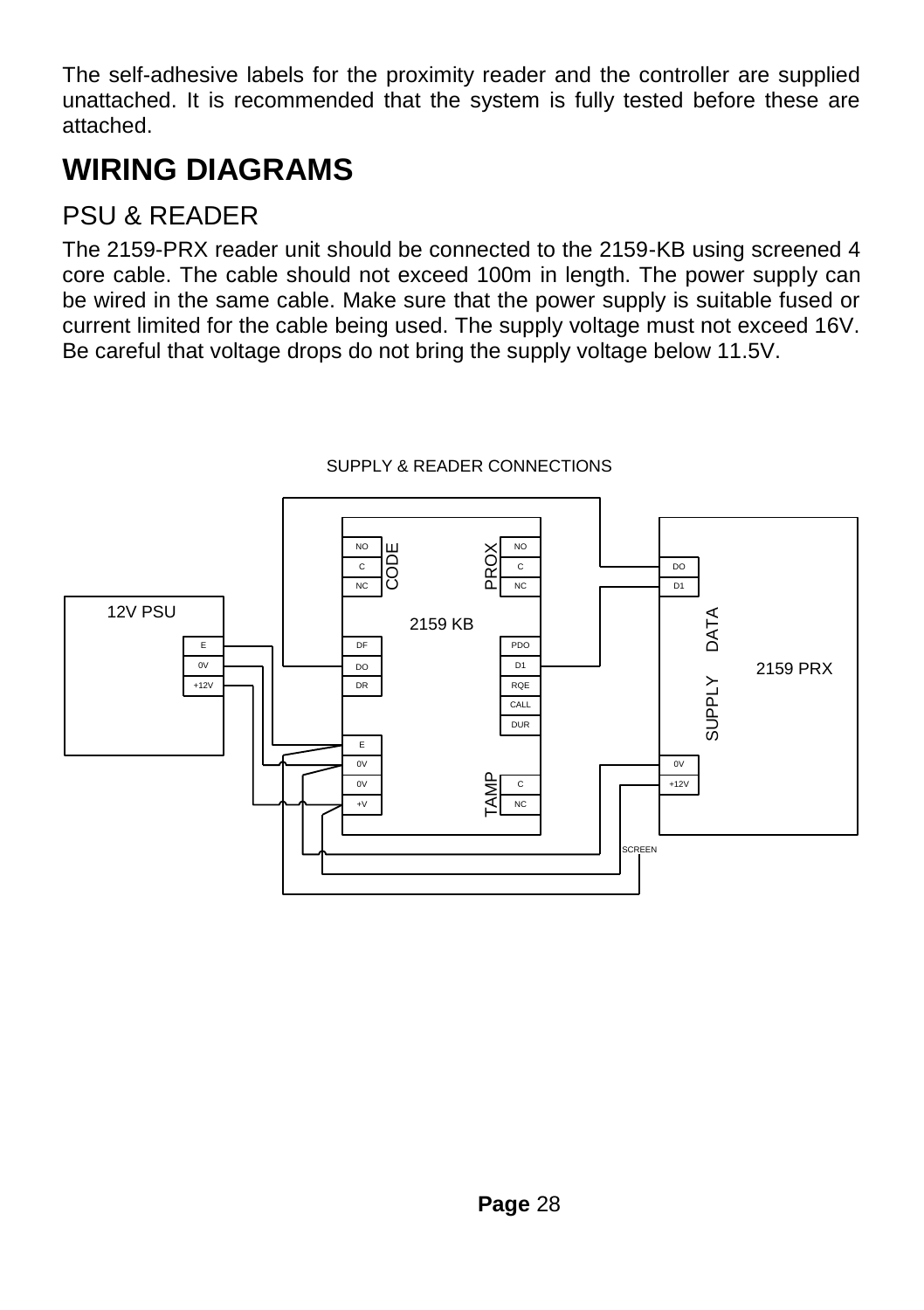The self-adhesive labels for the proximity reader and the controller are supplied unattached. It is recommended that the system is fully tested before these are attached.

#### **WIRING DIAGRAMS**

#### PSU & READER

The 2159-PRX reader unit should be connected to the 2159-KB using screened 4 core cable. The cable should not exceed 100m in length. The power supply can be wired in the same cable. Make sure that the power supply is suitable fused or current limited for the cable being used. The supply voltage must not exceed 16V. Be careful that voltage drops do not bring the supply voltage below 11.5V.



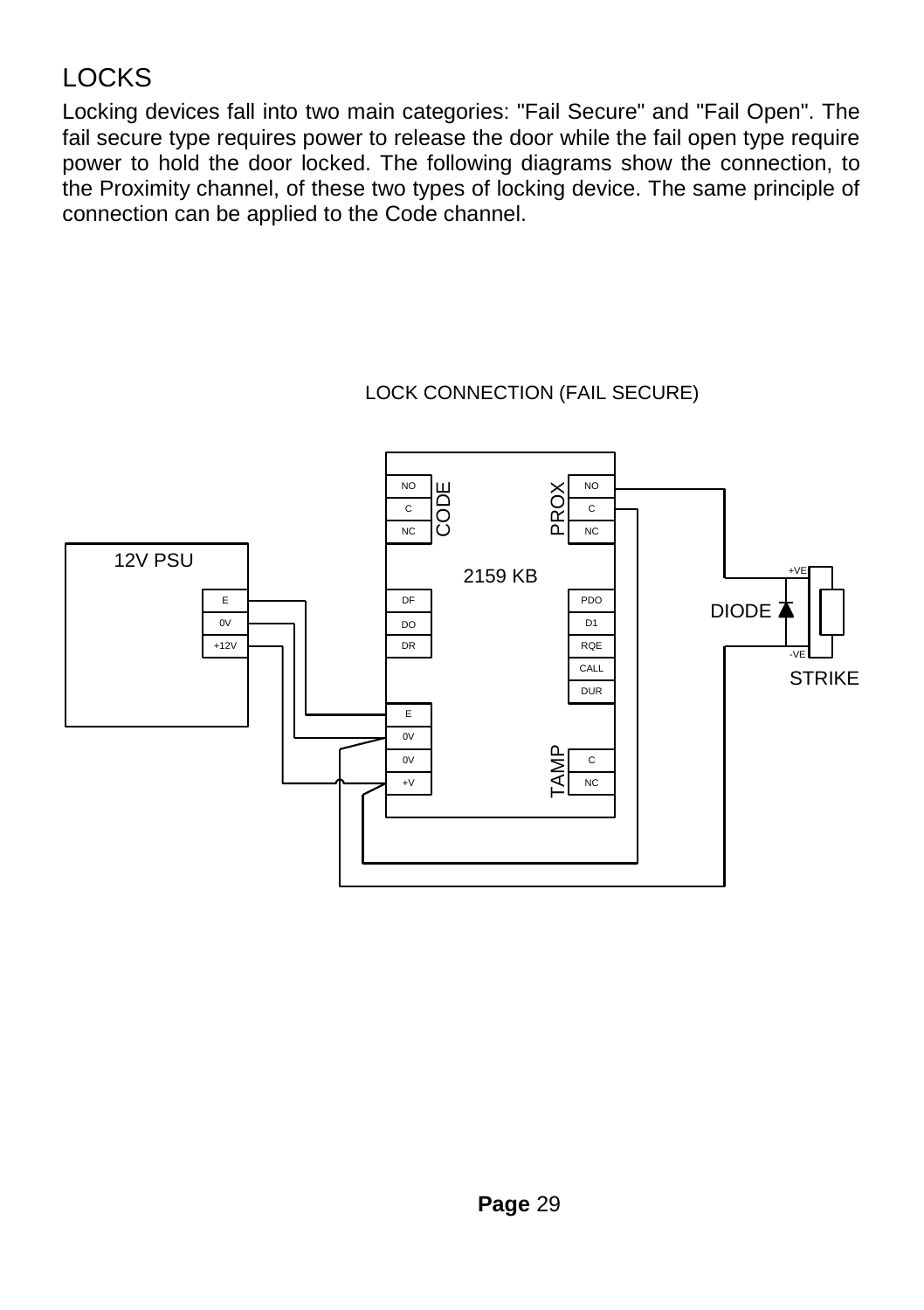#### **LOCKS**

Locking devices fall into two main categories: "Fail Secure" and "Fail Open". The fail secure type requires power to release the door while the fail open type require power to hold the door locked. The following diagrams show the connection, to the Proximity channel, of these two types of locking device. The same principle of connection can be applied to the Code channel.

#### LOCK CONNECTION (FAIL SECURE)

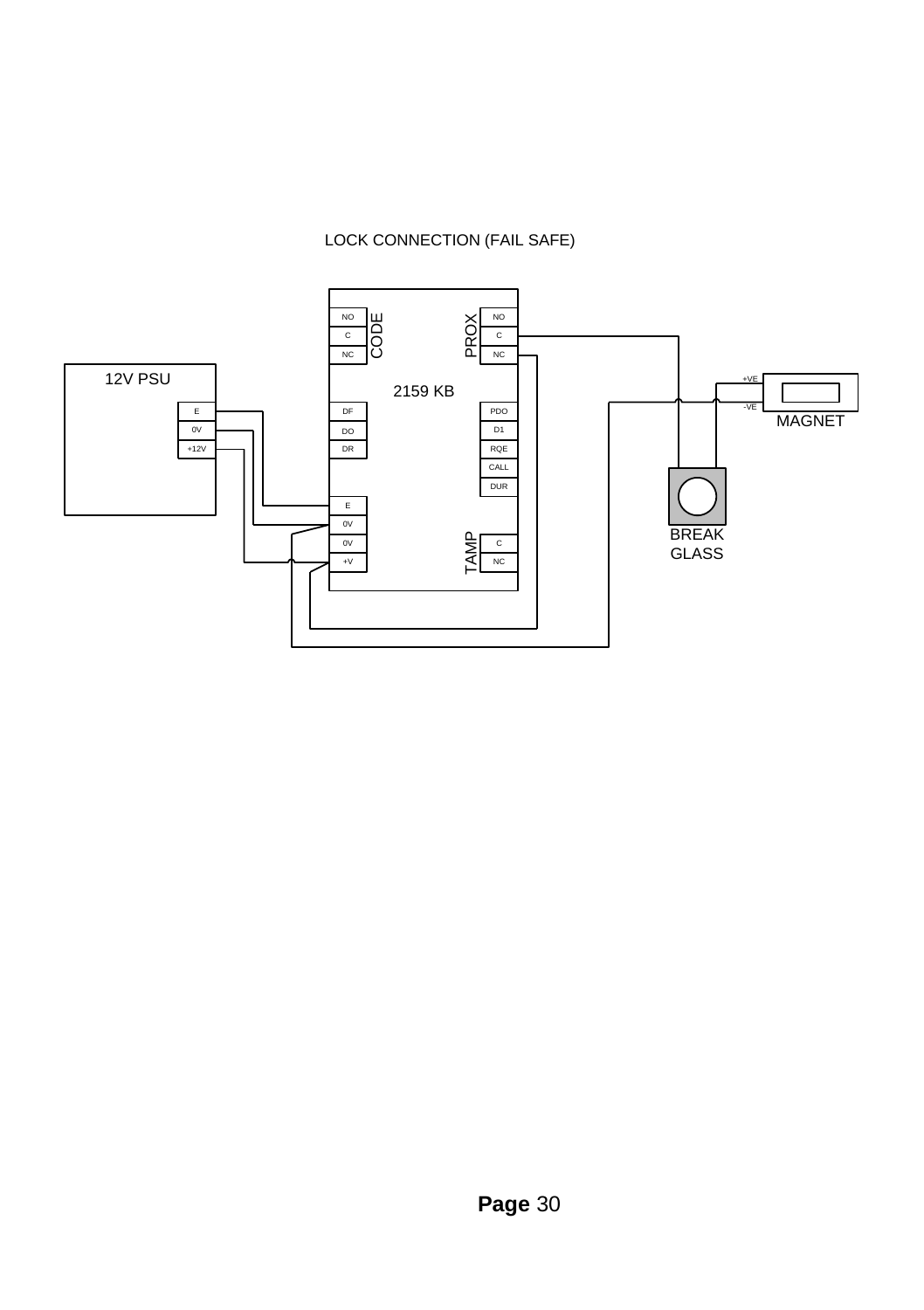#### LOCK CONNECTION (FAIL SAFE)

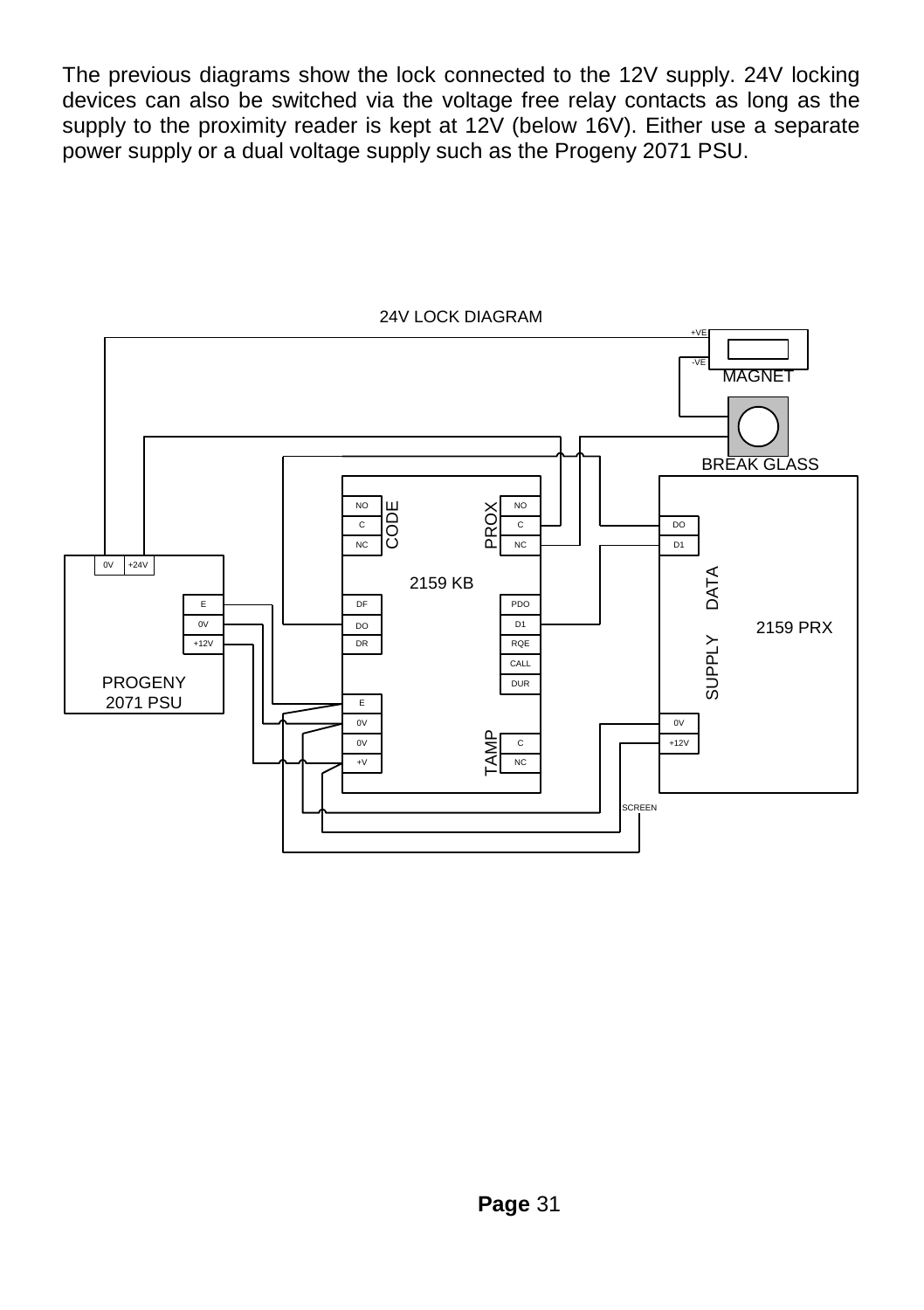The previous diagrams show the lock connected to the 12V supply. 24V locking devices can also be switched via the voltage free relay contacts as long as the supply to the proximity reader is kept at 12V (below 16V). Either use a separate power supply or a dual voltage supply such as the Progeny 2071 PSU.



#### 24V LOCK DIAGRAM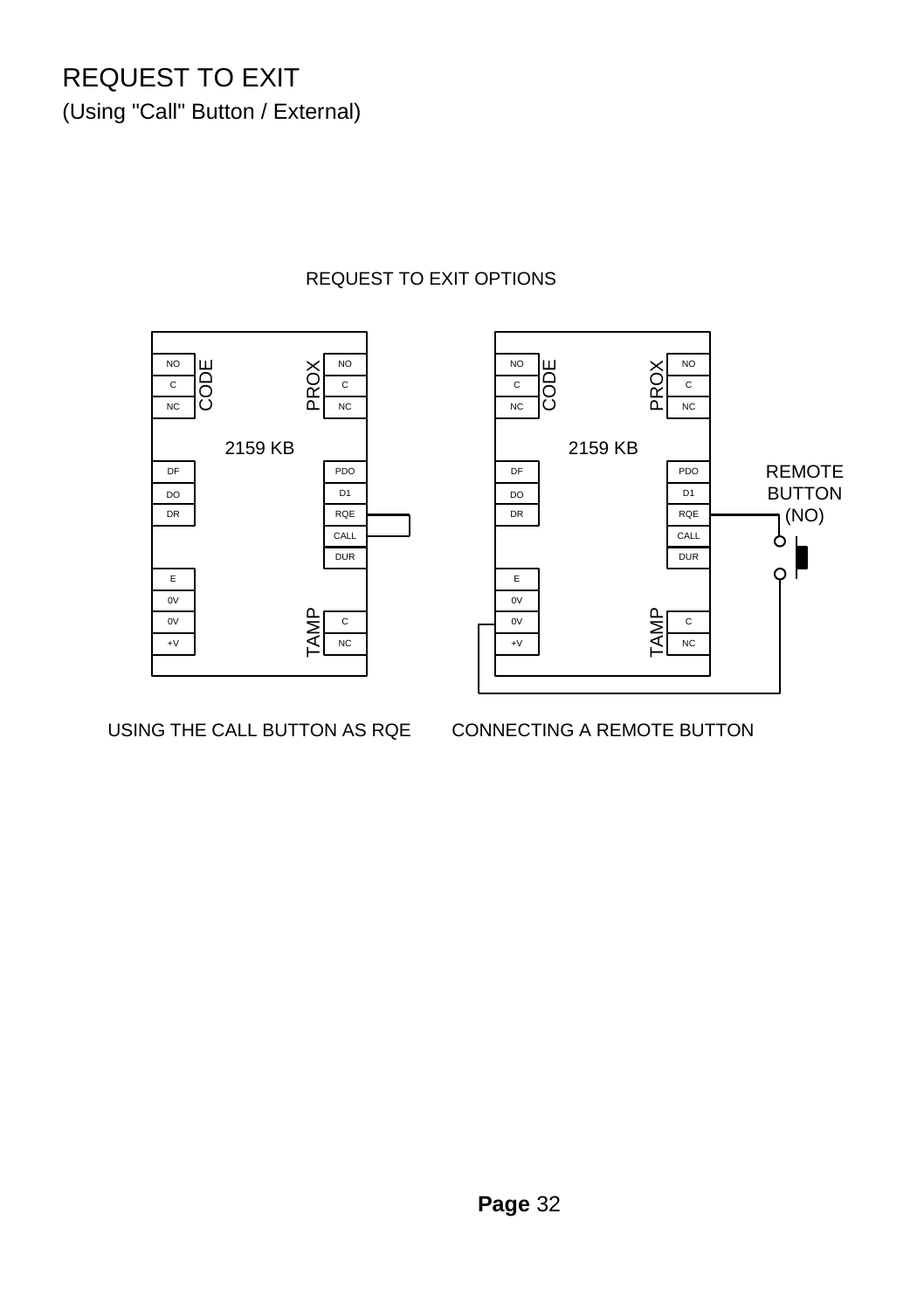## REQUEST TO EXIT

(Using "Call" Button / External)



#### REQUEST TO EXIT OPTIONS

USING THE CALL BUTTON AS RQE CONNECTING A REMOTE BUTTON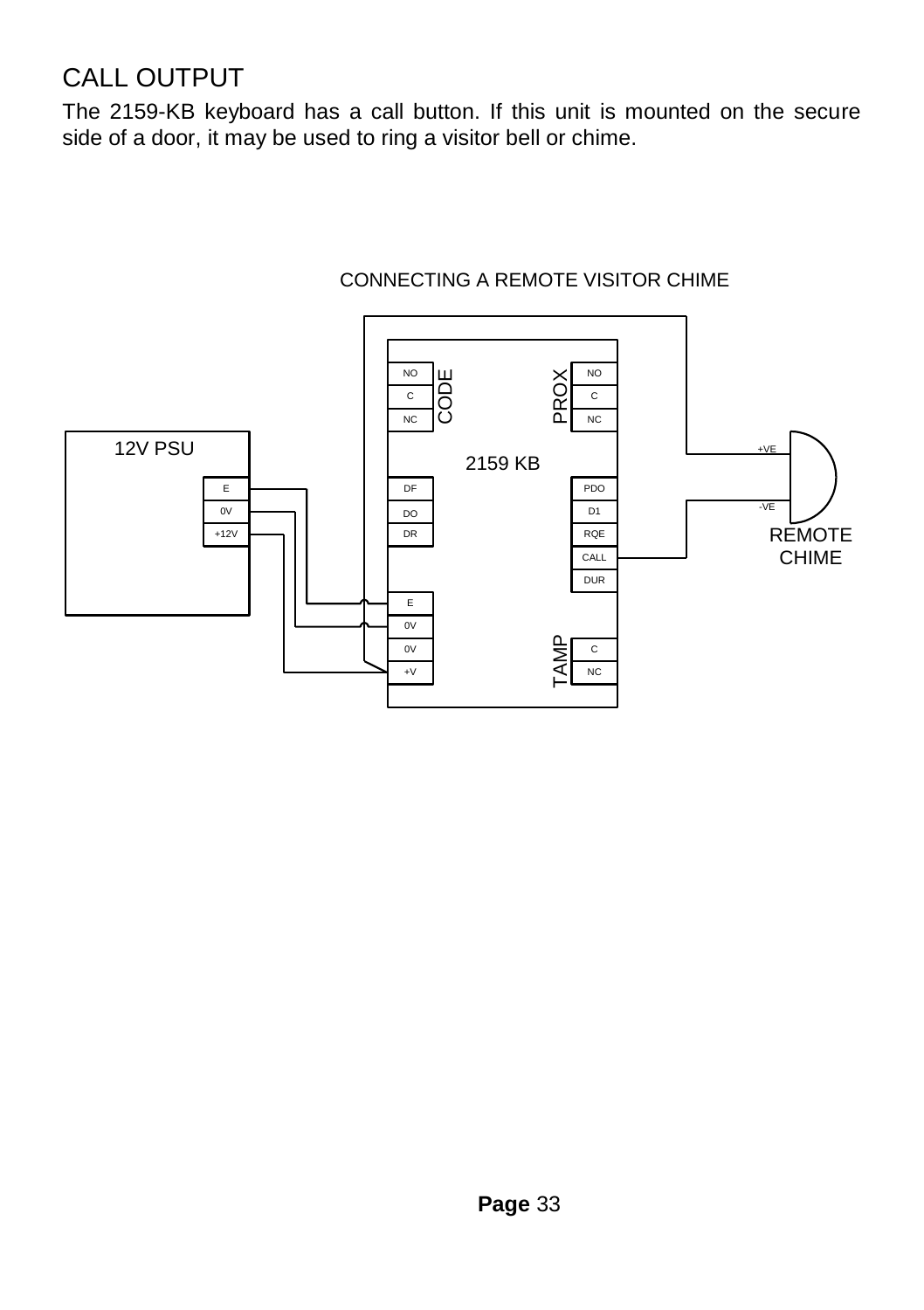#### CALL OUTPUT

The 2159-KB keyboard has a call button. If this unit is mounted on the secure side of a door, it may be used to ring a visitor bell or chime.



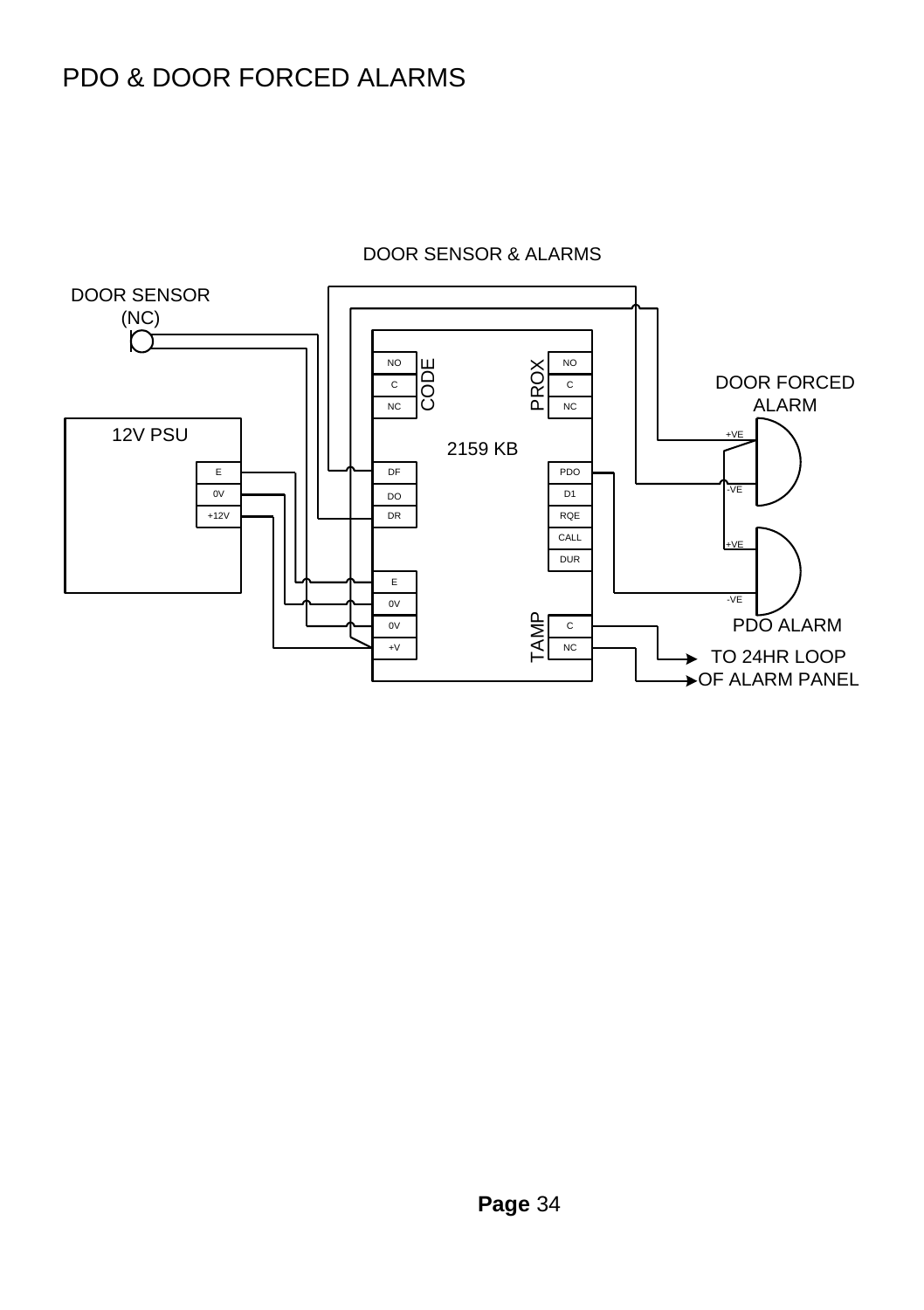#### PDO & DOOR FORCED ALARMS



#### DOOR SENSOR & ALARMS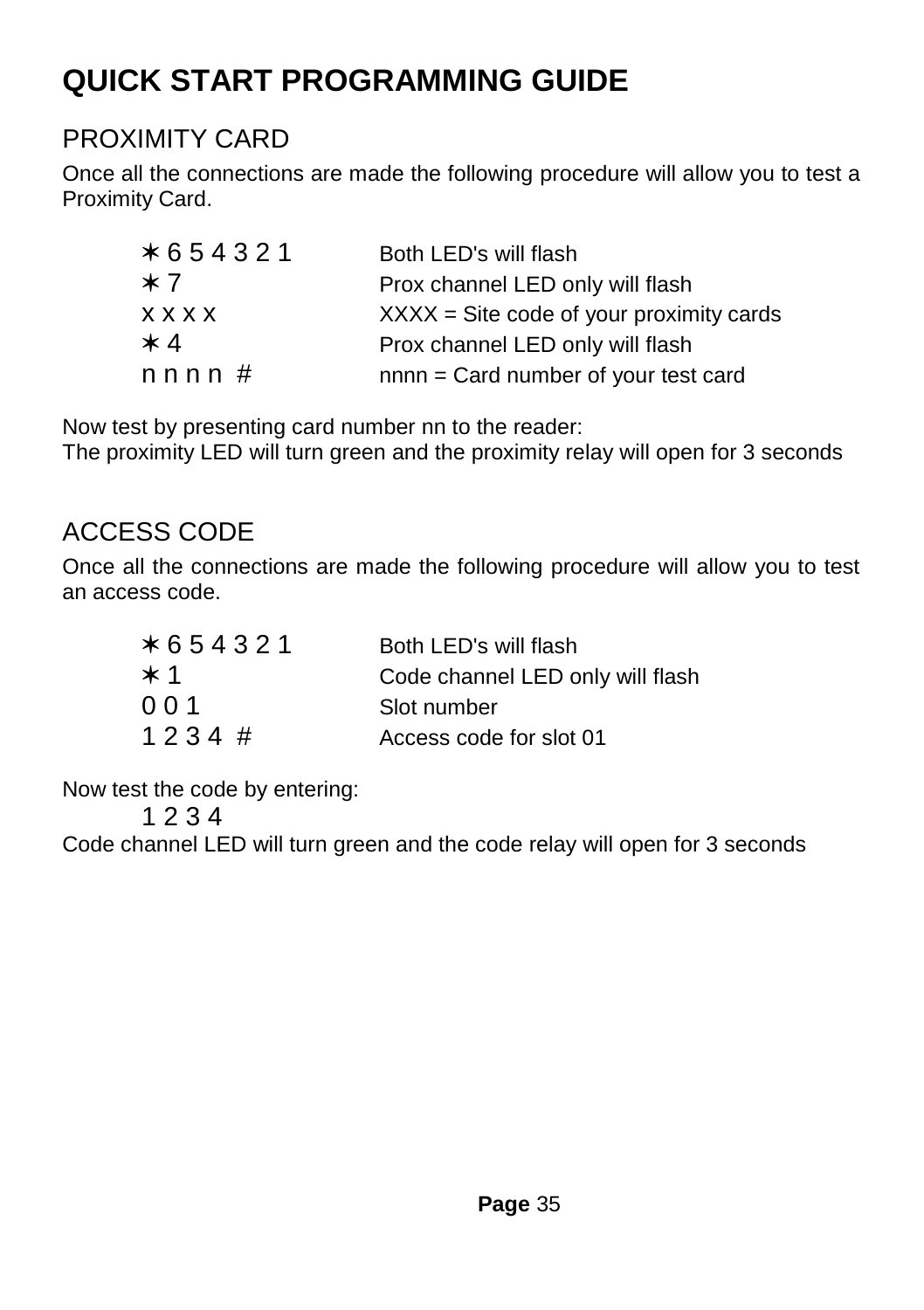#### **QUICK START PROGRAMMING GUIDE**

#### PROXIMITY CARD

Once all the connections are made the following procedure will allow you to test a Proximity Card.

| *654321        | Both LED's will flash                     |
|----------------|-------------------------------------------|
| ∗7             | Prox channel LED only will flash          |
| <b>x x x x</b> | $XXX =$ Site code of your proximity cards |
| ∗ 4            | Prox channel LED only will flash          |
| nnnn#          | nnnn = Card number of your test card      |

Now test by presenting card number nn to the reader:

The proximity LED will turn green and the proximity relay will open for 3 seconds

#### ACCESS CODE

Once all the connections are made the following procedure will allow you to test an access code.

| *654321  | Both LED's will flash            |
|----------|----------------------------------|
| $\ast$ 1 | Code channel LED only will flash |
| 0 0 1    | Slot number                      |
| 1234#    | Access code for slot 01          |

Now test the code by entering:

1 2 3 4

Code channel LED will turn green and the code relay will open for 3 seconds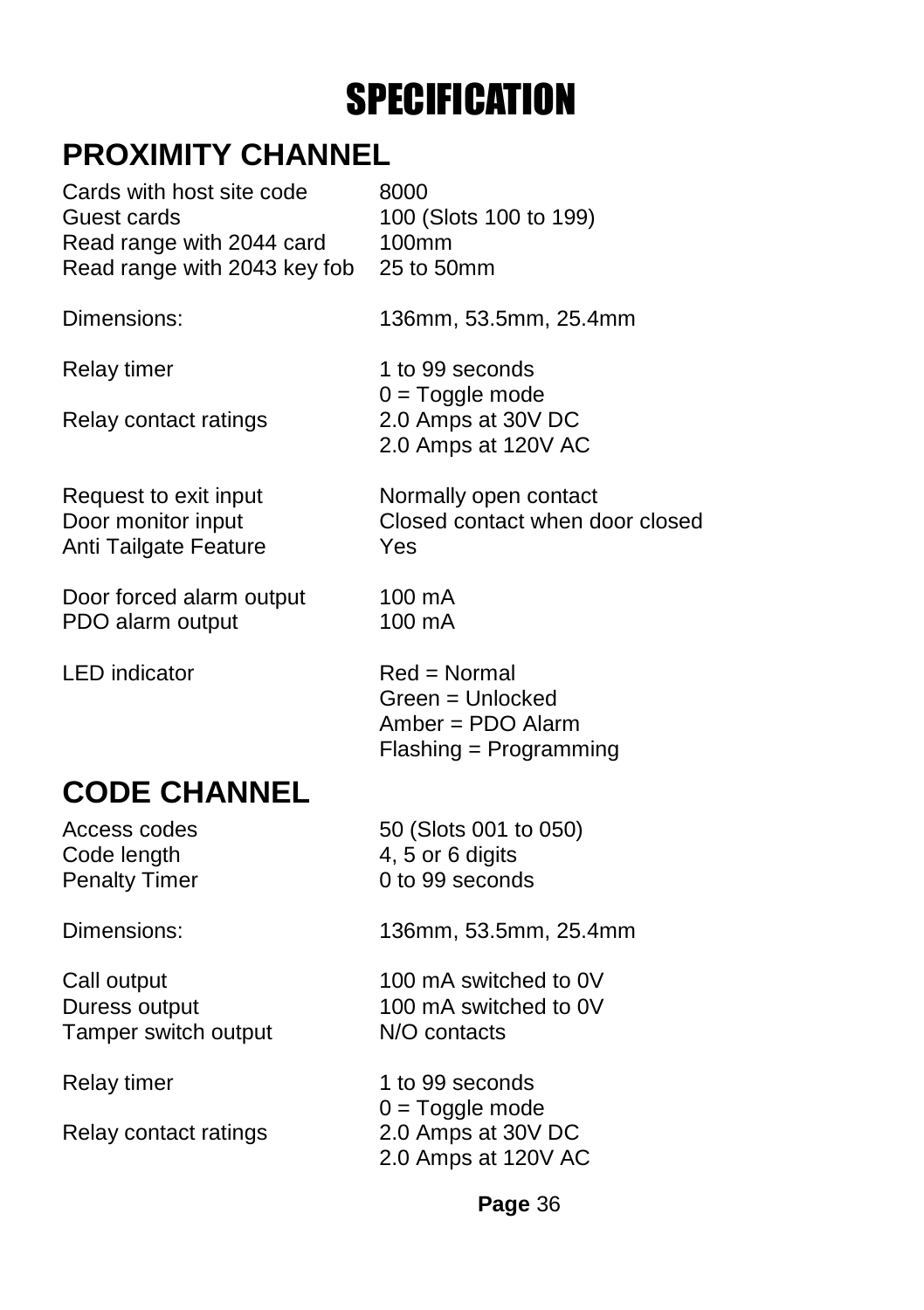# **SPECIFICATION**

#### **PROXIMITY CHANNEL**

| Cards with host site code            | 8000                                                                                       |
|--------------------------------------|--------------------------------------------------------------------------------------------|
| Guest cards                          | 100 (Slots 100 to 199)                                                                     |
| Read range with 2044 card            | $100$ mm                                                                                   |
| Read range with 2043 key fob         | 25 to 50mm                                                                                 |
| Dimensions:                          | 136mm, 53.5mm, 25.4mm                                                                      |
| Relay timer<br>Relay contact ratings | 1 to 99 seconds<br>$0 = \text{Together mode}$<br>2.0 Amps at 30V DC<br>2.0 Amps at 120V AC |
| Request to exit input                | Normally open contact                                                                      |
| Door monitor input                   | Closed contact when door closed                                                            |
| Anti Tailgate Feature                | Yes                                                                                        |

Door forced alarm output 100 mA PDO alarm output 100 mA

LED indicator Red = Normal

#### **CODE CHANNEL**

Code length 4, 5 or 6 digits

Tamper switch output N/O contacts

Relay contact ratings 2.0 Amps at 30V DC

Access codes 50 (Slots 001 to 050) Penalty Timer 0 to 99 seconds

Green = Unlocked Amber = PDO Alarm Flashing = Programming

Dimensions: 136mm, 53.5mm, 25.4mm

Call output 100 mA switched to 0V Duress output 100 mA switched to 0V

Relay timer 1 to 99 seconds  $0 = \text{Toggle mode}$ 2.0 Amps at 120V AC

**Page** 36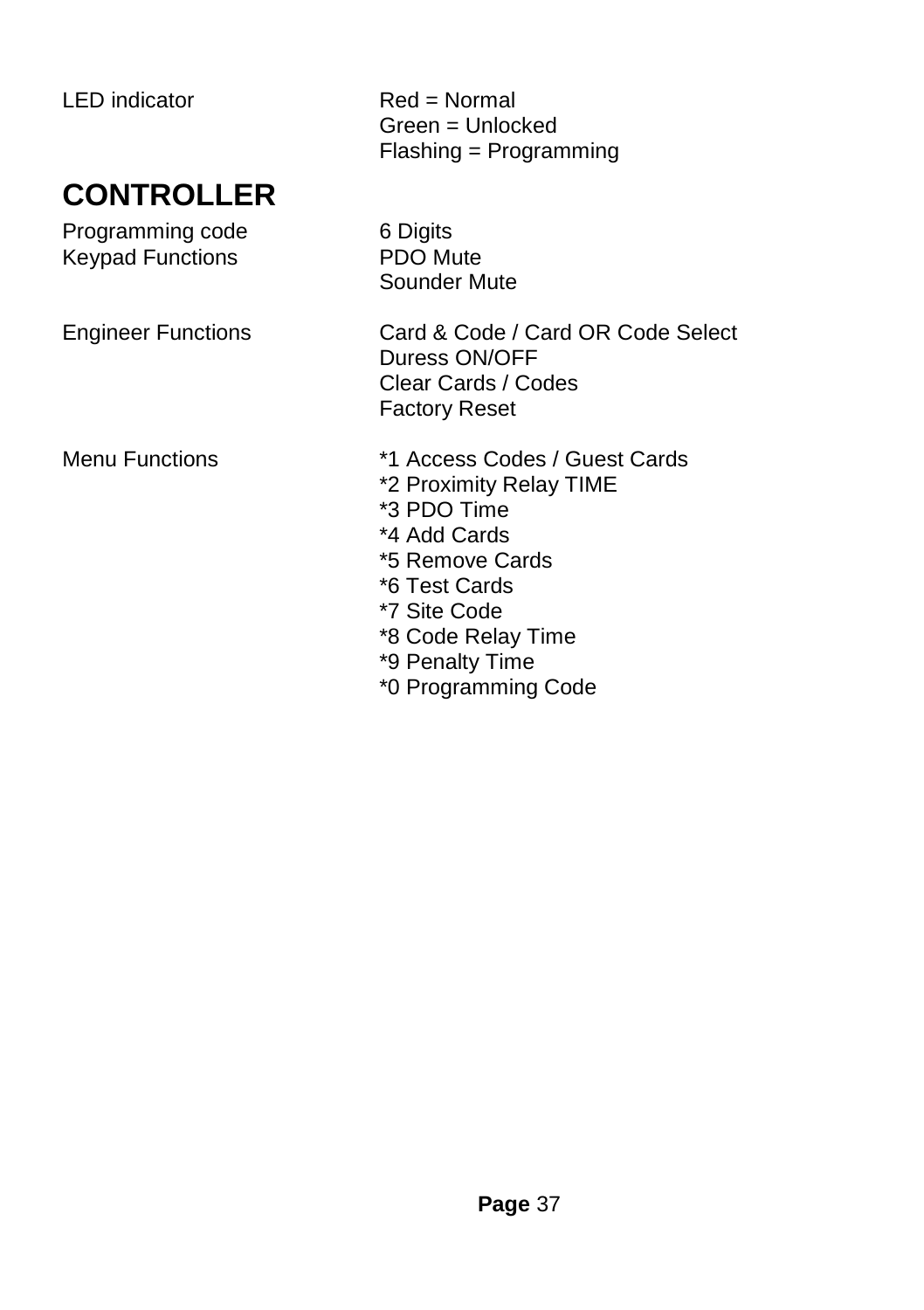#### **CONTROLLER**

Programming code 6 Digits<br>
Kevpad Functions
8 PDO Mute Keypad Functions

LED indicator Red = Normal Green = Unlocked Flashing = Programming

Sounder Mute

Engineer Functions Card & Code / Card OR Code Select Duress ON/OFF Clear Cards / Codes Factory Reset

- Menu Functions \*1 Access Codes / Guest Cards
	- \*2 Proximity Relay TIME
	- \*3 PDO Time
	- \*4 Add Cards
	- \*5 Remove Cards
	- \*6 Test Cards
	- \*7 Site Code
	- \*8 Code Relay Time
	- \*9 Penalty Time
	- \*0 Programming Code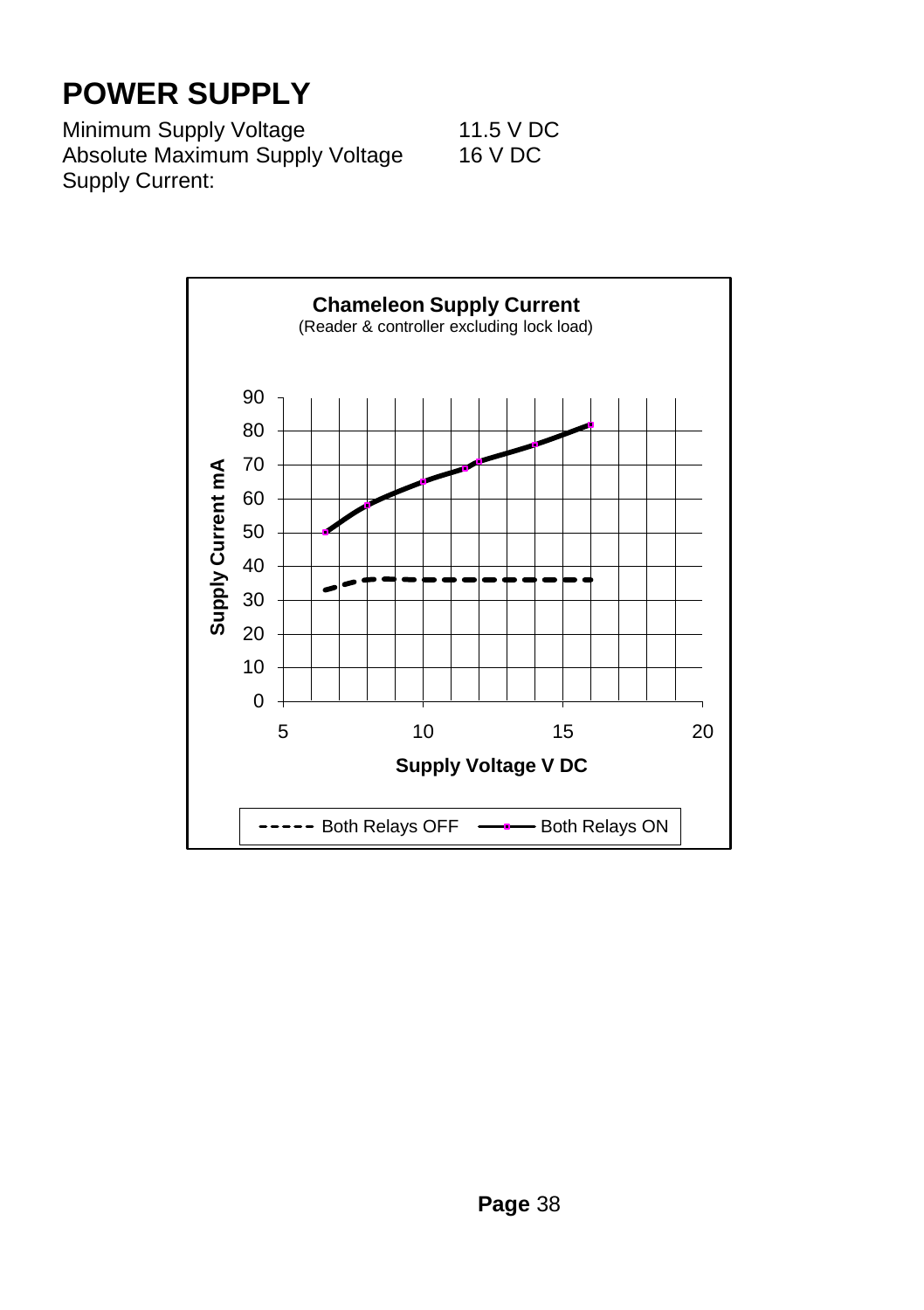#### **POWER SUPPLY**

Minimum Supply Voltage 11.5 V DC Absolute Maximum Supply Voltage 16 V DC Supply Current: